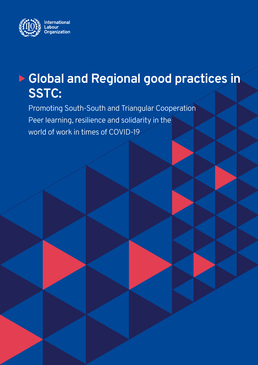

# ▶ Global and Regional good practices in **SSTC:**

Promoting South-South and Triangular Cooperation Peer learning, resilience and solidarity in the world of work in times of COVID-19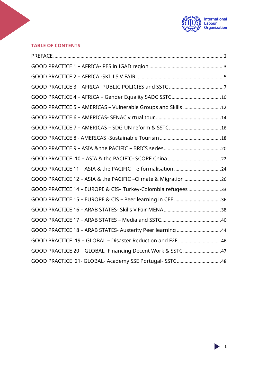

#### **TABLE OF CONTENTS**

| GOOD PRACTICE 5 - AMERICAS - Vulnerable Groups and Skills 12  |  |
|---------------------------------------------------------------|--|
|                                                               |  |
|                                                               |  |
|                                                               |  |
|                                                               |  |
|                                                               |  |
|                                                               |  |
| GOOD PRACTICE 12 - ASIA & the PACIFIC -Climate & Migration 26 |  |
| GOOD PRACTICE 14 - EUROPE & CIS- Turkey-Colombia refugees 33  |  |
|                                                               |  |
|                                                               |  |
|                                                               |  |
| GOOD PRACTICE 18 - ARAB STATES- Austerity Peer learning 44    |  |
| GOOD PRACTICE 19 - GLOBAL - Disaster Reduction and F2F 46     |  |
| GOOD PRACTICE 20 - GLOBAL -Financing Decent Work & SSTC 47    |  |
| GOOD PRACTICE 21- GLOBAL- Academy SSE Portugal- SSTC48        |  |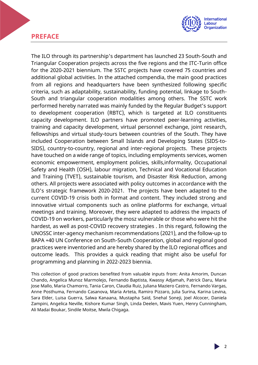## <span id="page-2-0"></span>**PREFACE**



The ILO through its partnership's department has launched 23 South-South and Triangular Cooperation projects across the five regions and the ITC-Turin office for the 2020-2021 biennium. The SSTC projects have covered 75 countries and additional global activities. In the attached compendia, the main good practices from all regions and headquarters have been synthesized following specific criteria, such as adaptability, sustainability, funding potential, linkage to South-South and triangular cooperation modalities among others. The SSTC work performed hereby narrated was mainly funded by the Regular Budget's support to development cooperation (RBTC), which is targeted at ILO constituents capacity development. ILO partners have promoted peer-learning activities, training and capacity development, virtual personnel exchange, joint research, fellowships and virtual study-tours between countries of the South. They have included Cooperation between Small Islands and Developing States (SIDS-to-SIDS), country-to-country, regional and inter-regional projects. These projects have touched on a wide range of topics, including employments services, women economic empowerment, employment policies, skills,informality, Occupational Safety and Health (OSH), labour migration, Technical and Vocational Education and Training (TVET), sustainable tourism, and Disaster Risk Reduction, among others. All projects were associated with policy outcomes in accordance with the ILO's strategic framework 2020-2021. The projects have been adapted to the current COVID-19 crisis both in format and content. They included strong and innovative virtual components such as online platforms for exchange, virtual meetings and training. Moreover, they were adapted to address the impacts of COVID-19 on workers, particularly the mosz vulnerable or those who were hit the hardest, as well as post-COVID recovery strategies . In this regard, following the UNOSSC inter-agency mechanism recommendations (2021), and the follow-up to BAPA +40 UN Conference on South-South Cooperation, global and regional good practices were inventoried and are hereby shared by the ILO regional offices and outcome leads. This provides a quick reading that might also be useful for programming and planning in 2022-2023 biennia.

<span id="page-2-1"></span>This collection of good practices benefited from valuable inputs from: Anita Amorim, Duncan Chando, Angelica Munoz Marmolejo, Fernando Baptista, Kwassy Adjamah, Patrick Daru, Maria Jose Mallo, Maria Chamorro, Tania Caron, Claudia Ruiz, Juliana Maziero Castro, Fernando Vargas, Anne Posthuma, Fernando Casanova, Maria Arteta, Ramiro Pizzaro, Julia Surina, Karina Levina, Sara Elder, Luisa Guerra, Salwa Kanaana, Mustapha Saïd, Snehal Soneji, Joel Alcocer, Daniela Zampini, Angelica Neville, Kishore Kumar Singh, Linda Deelen, Mavis Yuen, Henry Cunningham, Ali Madai Boukar, Sindile Moitse, Mwila Chigaga.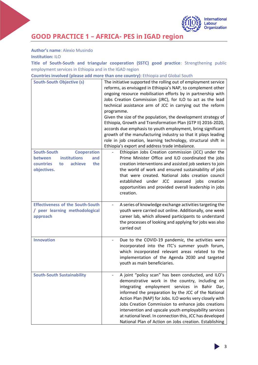

# **GOOD PRACTICE 1 – AFRICA- PES in IGAD region**

**Author's name**: Alexio Musindo

**Institution:** ILO

**Title of South-South and triangular cooperation (SSTC) good practice**: Strengthening public employment services in Ethiopia and in the IGAD region

**Countries involved (please add more than one country)**: Ethiopia and Global South

| <b>South-South Objective (s)</b>         | The initiative supported the rolling out of employment service<br>reforms, as envisaged in Ethiopia's NAP, to complement other<br>ongoing resource mobilisation efforts by in partnership with<br>Jobs Creation Commission (JRC), for ILO to act as the lead<br>technical assistance arm of JCC in carrying out the reform<br>programme.<br>Given the size of the population, the development strategy of<br>Ethiopia, Growth and Transformation Plan (GTP II) 2016-2020,<br>accords due emphasis to youth employment, bring significant<br>growth of the manufacturing industry so that it plays leading<br>role in job creation, learning technology, structural shift in<br>Ethiopia's export and address trade imbalance. |
|------------------------------------------|-------------------------------------------------------------------------------------------------------------------------------------------------------------------------------------------------------------------------------------------------------------------------------------------------------------------------------------------------------------------------------------------------------------------------------------------------------------------------------------------------------------------------------------------------------------------------------------------------------------------------------------------------------------------------------------------------------------------------------|
| <b>South-South</b><br><b>Cooperation</b> | Ethiopian Jobs Creation commission (JCC) under the                                                                                                                                                                                                                                                                                                                                                                                                                                                                                                                                                                                                                                                                            |
| institutions<br>between<br>and           | Prime Minister Office and ILO coordinated the jobs                                                                                                                                                                                                                                                                                                                                                                                                                                                                                                                                                                                                                                                                            |
| achieve<br>the<br>countries<br>to        | creation interventions and assisted job seekers to join                                                                                                                                                                                                                                                                                                                                                                                                                                                                                                                                                                                                                                                                       |
| objectives.                              | the world of work and ensured sustainability of jobs                                                                                                                                                                                                                                                                                                                                                                                                                                                                                                                                                                                                                                                                          |
|                                          | that were created. National Jobs creation council                                                                                                                                                                                                                                                                                                                                                                                                                                                                                                                                                                                                                                                                             |
|                                          | established under JCC assessed jobs creation<br>opportunities and provided overall leadership in jobs                                                                                                                                                                                                                                                                                                                                                                                                                                                                                                                                                                                                                         |
|                                          | creation.                                                                                                                                                                                                                                                                                                                                                                                                                                                                                                                                                                                                                                                                                                                     |
|                                          |                                                                                                                                                                                                                                                                                                                                                                                                                                                                                                                                                                                                                                                                                                                               |
| <b>Effectiveness of the South-South</b>  | A series of knowledge exchange activities targeting the                                                                                                                                                                                                                                                                                                                                                                                                                                                                                                                                                                                                                                                                       |
| / peer learning methodological           | youth were carried out online. Additionally, one week                                                                                                                                                                                                                                                                                                                                                                                                                                                                                                                                                                                                                                                                         |
| approach                                 | career lab, which allowed participants to understand<br>the processes of looking and applying for jobs was also                                                                                                                                                                                                                                                                                                                                                                                                                                                                                                                                                                                                               |
|                                          | carried out                                                                                                                                                                                                                                                                                                                                                                                                                                                                                                                                                                                                                                                                                                                   |
|                                          |                                                                                                                                                                                                                                                                                                                                                                                                                                                                                                                                                                                                                                                                                                                               |
| <b>Innovation</b>                        | Due to the COVID-19 pandemic, the activities were                                                                                                                                                                                                                                                                                                                                                                                                                                                                                                                                                                                                                                                                             |
|                                          | incorporated into the ITC's summer youth forum,                                                                                                                                                                                                                                                                                                                                                                                                                                                                                                                                                                                                                                                                               |
|                                          | which incorporated relevant areas related to the                                                                                                                                                                                                                                                                                                                                                                                                                                                                                                                                                                                                                                                                              |
|                                          | implementation of the Agenda 2030 and targeted<br>youth as main beneficiaries.                                                                                                                                                                                                                                                                                                                                                                                                                                                                                                                                                                                                                                                |
|                                          |                                                                                                                                                                                                                                                                                                                                                                                                                                                                                                                                                                                                                                                                                                                               |
| <b>South-South Sustainability</b>        | A joint "policy scan" has been conducted, and ILO's                                                                                                                                                                                                                                                                                                                                                                                                                                                                                                                                                                                                                                                                           |
|                                          | demonstrative work in the country, including on                                                                                                                                                                                                                                                                                                                                                                                                                                                                                                                                                                                                                                                                               |
|                                          | integrating employment services in Bahir Dar,<br>informed the preparation by the JCC of the National                                                                                                                                                                                                                                                                                                                                                                                                                                                                                                                                                                                                                          |
|                                          | Action Plan (NAP) for Jobs. ILO works very closely with                                                                                                                                                                                                                                                                                                                                                                                                                                                                                                                                                                                                                                                                       |
|                                          | Jobs Creation Commission to enhance jobs creations                                                                                                                                                                                                                                                                                                                                                                                                                                                                                                                                                                                                                                                                            |
|                                          | intervention and upscale youth employability services                                                                                                                                                                                                                                                                                                                                                                                                                                                                                                                                                                                                                                                                         |
|                                          | at national level. In connection this, JCC has developed                                                                                                                                                                                                                                                                                                                                                                                                                                                                                                                                                                                                                                                                      |
|                                          | National Plan of Action on Jobs creation. Establishing                                                                                                                                                                                                                                                                                                                                                                                                                                                                                                                                                                                                                                                                        |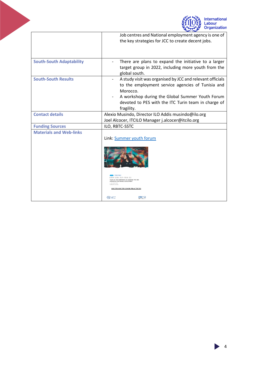

<span id="page-4-0"></span>

|                                 | Job centres and National employment agency is one of<br>the key strategies for JCC to create decent jobs.                                                                                                                                          |
|---------------------------------|----------------------------------------------------------------------------------------------------------------------------------------------------------------------------------------------------------------------------------------------------|
| <b>South-South Adaptability</b> | There are plans to expand the initiative to a larger<br>target group in 2022, including more youth from the<br>global south.                                                                                                                       |
| <b>South-South Results</b>      | A study visit was organised by JCC and relevant officials<br>to the employment service agencies of Tunisia and<br>Morocco.<br>A workshop during the Global Summer Youth Forum<br>devoted to PES with the ITC Turin team in charge of<br>fragility. |
| <b>Contact details</b>          | Alexio Musindo, Director ILO Addis musindo@ilo.org                                                                                                                                                                                                 |
|                                 | Joel Alcocer, ITCILO Manager j.alcocer@itcilo.org                                                                                                                                                                                                  |
| <b>Funding Sources</b>          | ILO, RBTC-SSTC                                                                                                                                                                                                                                     |
| <b>Materials and Web-links</b>  | Link: Summer youth forum                                                                                                                                                                                                                           |
|                                 | MER GLOBAL YOUTH FORUM 2021<br>UTH AT THE FOREFRONT OF ACHIEVING THE 2030<br><b>AGENDAFOR SUSTAINABLE DEVELOPMENT</b><br>There's as some<br><b>SOUTH-SOUTH GOOD PRACTICES</b><br><b>ITC®</b><br><b>COM</b> SECTION                                 |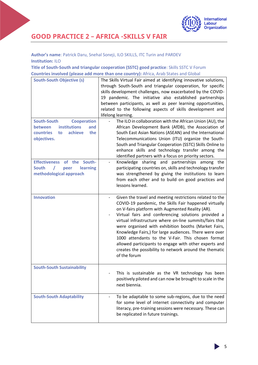

# **GOOD PRACTICE 2 – AFRICA -SKILLS V FAIR**

#### **Author's name**: Patrick Daru, Snehal Soneji, ILO SKILLS, ITC Turin and PARDEV **Institution:** ILO

**Title of South-South and triangular cooperation (SSTC) good practice**: Skills SSTC V Forum **Countries involved (please add more than one country):** Africa, Arab States and Global

| <b>South-South Objective (s)</b><br><b>South-South</b><br><b>Cooperation</b><br><b>institutions</b><br><b>between</b><br>and<br>achieve<br>countries<br>the<br>to<br>objectives. | The Skills Virtual Fair aimed at identifying innovative solutions,<br>through South-South and triangular cooperation, for specific<br>skills development challenges, now exacerbated by the COVID-<br>19 pandemic. The initiative also established partnerships<br>between participants, as well as peer learning opportunities,<br>related to the following aspects of skills development and<br>lifelong learning.<br>The ILO in collaboration with the African Union (AU), the<br>African Development Bank (AfDB), the Association of<br>South East Asian Nations (ASEAN) and the International<br>Telecommunications Union (ITU) organize the South-<br>South and Triangular Cooperation (SSTC) Skills Online to<br>enhance skills and technology transfer among the<br>identified partners with a focus on priority sectors. |
|----------------------------------------------------------------------------------------------------------------------------------------------------------------------------------|-----------------------------------------------------------------------------------------------------------------------------------------------------------------------------------------------------------------------------------------------------------------------------------------------------------------------------------------------------------------------------------------------------------------------------------------------------------------------------------------------------------------------------------------------------------------------------------------------------------------------------------------------------------------------------------------------------------------------------------------------------------------------------------------------------------------------------------|
| <b>Effectiveness</b><br>of the<br>South-<br><b>South</b><br>learning<br>peer<br>methodological approach                                                                          | Knowledge sharing and partnerships among the<br>participating countries on, skills and technology transfer<br>was strengthened by giving the institutions to learn<br>from each other and to build on good practices and<br>lessons learned.                                                                                                                                                                                                                                                                                                                                                                                                                                                                                                                                                                                      |
| <b>Innovation</b>                                                                                                                                                                | Given the travel and meeting restrictions related to the<br>COVID-19 pandemic, the Skills Fair happened virtually<br>on V-fairs platform with Augmented Reality (AR).<br>Virtual fairs and conferencing solutions provided a<br>virtual infrastructure where on-line summits/fairs that<br>were organised with exhibition booths (Market Fairs,<br>Knowledge Fairs,) for large audiences. There were over<br>1000 attendants to the V-Fair. This chosen format<br>allowed participants to engage with other experts and<br>creates the possibility to network around the thematic<br>of the forum                                                                                                                                                                                                                                 |
| <b>South-South Sustainability</b>                                                                                                                                                | This is sustainable as the VR technology has been<br>positively piloted and can now be brought to scale in the<br>next biennia.                                                                                                                                                                                                                                                                                                                                                                                                                                                                                                                                                                                                                                                                                                   |
| <b>South-South Adaptability</b>                                                                                                                                                  | To be adaptable to some sub-regions, due to the need<br>for some level of internet connectivity and computer<br>literacy, pre-training sessions were necessary. These can<br>be replicated in future trainings.                                                                                                                                                                                                                                                                                                                                                                                                                                                                                                                                                                                                                   |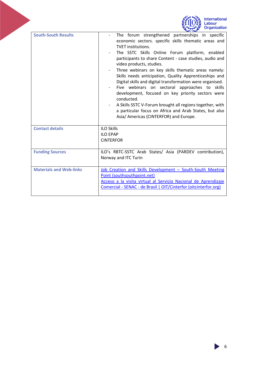

<span id="page-6-0"></span>

| <b>South-South Results</b>     | The forum strengthened partnerships in specific<br>economic sectors. specific skills thematic areas and<br><b>TVET institutions.</b><br>The SSTC Skills Online Forum platform, enabled<br>participants to share Content - case studies, audio and<br>video products, studies.<br>Three webinars on key skills thematic areas namely:<br>Skills needs anticipation, Quality Apprenticeships and<br>Digital skills and digital transformation were organised.<br>Five webinars on sectoral approaches to skills<br>development, focused on key priority sectors were<br>conducted.<br>A Skills SSTC V-Forum brought all regions together, with<br>a particular focus on Africa and Arab States, but also<br>Asia/ Americas (CINTERFOR) and Europe. |
|--------------------------------|--------------------------------------------------------------------------------------------------------------------------------------------------------------------------------------------------------------------------------------------------------------------------------------------------------------------------------------------------------------------------------------------------------------------------------------------------------------------------------------------------------------------------------------------------------------------------------------------------------------------------------------------------------------------------------------------------------------------------------------------------|
| <b>Contact details</b>         | <b>ILO Skills</b><br><b>ILO EPAP</b><br><b>CINTERFOR</b>                                                                                                                                                                                                                                                                                                                                                                                                                                                                                                                                                                                                                                                                                         |
| <b>Funding Sources</b>         | ILO's RBTC-SSTC Arab States/ Asia (PARDEV contribution),<br>Norway and ITC Turin                                                                                                                                                                                                                                                                                                                                                                                                                                                                                                                                                                                                                                                                 |
| <b>Materials and Web-links</b> | Job Creation and Skills Development - South-South Meeting<br>Point (southsouthpoint.net)<br>Acceso a la visita virtual al Servicio Nacional de Aprendizaje<br>Comercial - SENAC - de Brasil   OIT/Cinterfor (oitcinterfor.org)                                                                                                                                                                                                                                                                                                                                                                                                                                                                                                                   |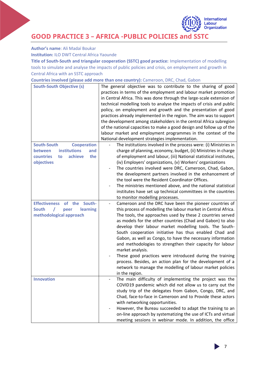**GOOD PRACTICE 3 – AFRICA -PUBLIC POLICIES and SSTC**

**Author's name**: Ali Madaï Boukar

**Institution:** ILO DWT Central Africa Yaounde

**Title of South-South and triangular cooperation (SSTC) good practice:** Implementation of modelling tools to simulate and analyse the impacts of public policies and crisis, on employment and growth in Central Africa with an SSTC approach

**Countries involved (please add more than one country):** Cameroon, DRC, Chad, Gabon

| <b>South-South Objective (s)</b>                                                                                              | The general objective was to contribute to the sharing of good<br>practices in terms of the employment and labour market promotion<br>in Central Africa. This was done through the large-scale extension of<br>technical modelling tools to analyse the impacts of crisis and public<br>policy, on employment and growth and the presentation of good<br>practices already implemented in the region. The aim was to support<br>the development among stakeholders in the central Africa subregion<br>of the national capacities to make a good design and follow up of the<br>labour market and employment programmes in the context of the<br>National development strategies implementation.                                   |
|-------------------------------------------------------------------------------------------------------------------------------|-----------------------------------------------------------------------------------------------------------------------------------------------------------------------------------------------------------------------------------------------------------------------------------------------------------------------------------------------------------------------------------------------------------------------------------------------------------------------------------------------------------------------------------------------------------------------------------------------------------------------------------------------------------------------------------------------------------------------------------|
| <b>South-South</b><br><b>Cooperation</b><br>institutions<br>between<br>and<br>achieve<br>countries<br>the<br>to<br>objectives | The institutions involved in the process were: (i) Ministries in<br>charge of planning, economy, budget, (ii) Ministries in charge<br>of employment and labour, (iii) National statistical institutes,<br>(iv) Employers' organizations, (v) Workers' organizations<br>The countries involved were DRC, Cameroon, Chad, Gabon,<br>the development partners involved in the enhancement of<br>the tool were the Resident Coordinator Offices.<br>The ministries mentioned above, and the national statistical<br>institutes have set up technical committees in the countries<br>to monitor modelling processes.                                                                                                                   |
| South-<br><b>Effectiveness</b><br>of the<br><b>South</b><br>learning<br>peer<br>methodological approach                       | Cameroon and the DRC have been the pioneer countries of<br>this process of modelling the labour market in Central Africa.<br>The tools, the approaches used by these 2 countries served<br>as models for the other countries (Chad and Gabon) to also<br>develop their labour market modelling tools. The South-<br>South cooperation initiative has thus enabled Chad and<br>Gabon, as well as Congo, to have the necessary information<br>and methodologies to strengthen their capacity for labour<br>market analysis.<br>These good practices were introduced during the training<br>process. Besides, an action plan for the development of a<br>network to manage the modelling of labour market policies<br>in the region. |
| <b>Innovation</b>                                                                                                             | The main difficulty of implementing the project was the<br>COVID19 pandemic which did not allow us to carry out the<br>study trip of the delegates from Gabon, Congo, DRC, and<br>Chad, face-to-face in Cameroon and to Provide these actors<br>with networking opportunities.<br>However, the Bureau succeeded to adapt the training to an<br>-<br>on-line approach by systematizing the use of ICTs and virtual<br>meeting sessions in webinar mode. In addition, the office                                                                                                                                                                                                                                                    |

7

International Labour **Organization**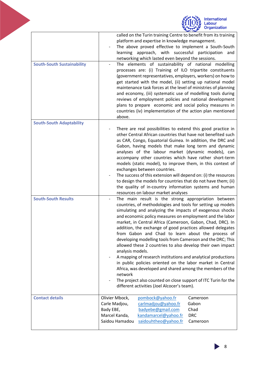|                                   | <b>International</b><br>abour<br><b>Organization</b>                                                                                                                                                                                                                                                                                                                                                                                                                                                                                                                                                                                                                                                                                                                                                                                                                                                |
|-----------------------------------|-----------------------------------------------------------------------------------------------------------------------------------------------------------------------------------------------------------------------------------------------------------------------------------------------------------------------------------------------------------------------------------------------------------------------------------------------------------------------------------------------------------------------------------------------------------------------------------------------------------------------------------------------------------------------------------------------------------------------------------------------------------------------------------------------------------------------------------------------------------------------------------------------------|
|                                   | called on the Turin training Centre to benefit from its training<br>platform and expertise in knowledge management.<br>The above proved effective to implement a South-South<br>learning approach, with successful participation<br>and<br>networking which lasted even beyond the sessions.                                                                                                                                                                                                                                                                                                                                                                                                                                                                                                                                                                                                        |
| <b>South-South Sustainability</b> | The elements of sustainability of national modelling<br>processes are: (i) Training of ILO tripartite constituents<br>(government representatives, employers, workers) on how to<br>get started with the model, (ii) setting up national model<br>maintenance task forces at the level of ministries of planning<br>and economy, (iii) systematic use of modelling tools during<br>reviews of employment policies and national development<br>plans to prepare economic and social policy measures in<br>countries (iv) implementation of the action plan mentioned<br>above.                                                                                                                                                                                                                                                                                                                       |
| <b>South-South Adaptability</b>   | There are real possibilities to extend this good practice in<br>other Central African countries that have not benefited such<br>as CAR, Congo, Equatorial Guinea. In addition, the DRC and<br>Gabon, having models that make long term and dynamic<br>analyses of the labour market (dynamic models), can<br>accompany other countries which have rather short-term<br>models (static model), to improve them, in this context of<br>exchanges between countries.<br>The success of this extension will depend on: (i) the resources<br>to design the models for countries that do not have them; (ii)<br>the quality of in-country information systems and human<br>resources on labour market analyses                                                                                                                                                                                            |
| <b>South-South Results</b>        | The main result is the strong appropriation between<br>countries, of methodologies and tools for setting up models<br>simulating and analyzing the impacts of exogenous shocks<br>and economic policy measures on employment and the labor<br>market, in Central Africa (Cameroon, Gabon, Chad, DRC). In<br>addition, the exchange of good practices allowed delegates<br>from Gabon and Chad to learn about the process of<br>developing modelling tools from Cameroon and the DRC; This<br>allowed these 2 countries to also develop their own impact<br>analysis models.<br>A mapping of research institutions and analytical productions<br>in public policies oriented on the labor market in Central<br>Africa, was developed and shared among the members of the<br>network<br>The project also counted on close support of ITC Turin for the<br>different activities (Joel Alcocer's team). |
| <b>Contact details</b>            | Olivier Mbock,<br>pombock@yahoo.fr<br>Cameroon<br>carlmadjou@yahoo.fr<br>Carle Madjou,<br>Gabon<br>Bady EBE,<br>badyebe@gmail.com<br>Chad<br>Marcel Kanda,<br>kandamarcel@yahoo.fr<br><b>DRC</b><br>Saidou Hamadou<br>saidouhtheo@yahoo.fr<br>Cameroon                                                                                                                                                                                                                                                                                                                                                                                                                                                                                                                                                                                                                                              |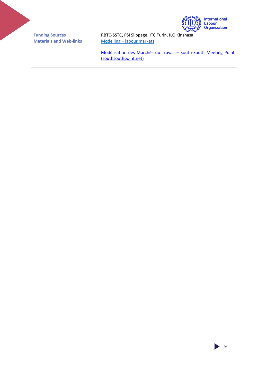| HION | <b>International</b><br>Labour<br>Organization |
|------|------------------------------------------------|
|------|------------------------------------------------|

<span id="page-9-0"></span>

| <b>Funding Sources</b>         | RBTC-SSTC, PSI Slippage, ITC Turin, ILO Kinshasa                                         |
|--------------------------------|------------------------------------------------------------------------------------------|
| <b>Materials and Web-links</b> | Modelling - labour markets                                                               |
|                                | Modélisation des Marchés du Travail - South-South Meeting Point<br>(southsouthpoint.net) |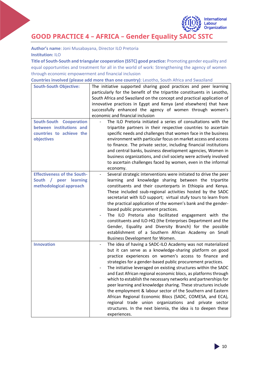

**GOOD PRACTICE 4 – AFRICA – Gender Equality SADC SSTC**

**Author's name**: Joni Musabayana, Director ILO Pretoria **Institution:** ILO

**Title of South-South and triangular cooperation (SSTC) good practice:** Promoting gender equality and equal opportunities and treatment for all in the world of work: Strengthening the agency of women through economic empowerment and financial inclusion

| Countries involved (please add more than one country): Lesotho, South Africa and Swaziland |  |  |
|--------------------------------------------------------------------------------------------|--|--|
|--------------------------------------------------------------------------------------------|--|--|

| <b>South-South Objective:</b>                        | The initiative supported sharing good practices and peer learning<br>particularly for the benefit of the tripartite constituents in Lesotho,<br>South Africa and Swaziland on the concept and practical application of<br>innovative practices in Egypt and Kenya (and elsewhere) that have<br>successfully enhanced the agency of women through women's<br>economic and financial inclusion |
|------------------------------------------------------|----------------------------------------------------------------------------------------------------------------------------------------------------------------------------------------------------------------------------------------------------------------------------------------------------------------------------------------------------------------------------------------------|
| <b>South-South Cooperation</b>                       | The ILO Pretoria initiated a series of consultations with the                                                                                                                                                                                                                                                                                                                                |
| between institutions and<br>countries to achieve the | tripartite partners in their respective countries to ascertain<br>specific needs and challenges that women face in the business                                                                                                                                                                                                                                                              |
| objectives                                           | environment with particular focus on market access and access                                                                                                                                                                                                                                                                                                                                |
|                                                      | to finance. The private sector, including financial institutions                                                                                                                                                                                                                                                                                                                             |
|                                                      | and central banks, business development agencies, Women in                                                                                                                                                                                                                                                                                                                                   |
|                                                      | business organizations, and civil society were actively involved                                                                                                                                                                                                                                                                                                                             |
|                                                      | to ascertain challenges faced by women, even in the informal                                                                                                                                                                                                                                                                                                                                 |
|                                                      | economy.                                                                                                                                                                                                                                                                                                                                                                                     |
| <b>Effectiveness of the South-</b>                   | Several strategic interventions were initiated to drive the peer                                                                                                                                                                                                                                                                                                                             |
| South / peer learning<br>methodological approach     | learning and knowledge sharing between the tripartite<br>constituents and their counterparts in Ethiopia and Kenya.                                                                                                                                                                                                                                                                          |
|                                                      | These included ssub-regional activities hosted by the SADC                                                                                                                                                                                                                                                                                                                                   |
|                                                      | secretariat with ILO support; virtual stufy tours to learn from                                                                                                                                                                                                                                                                                                                              |
|                                                      | the practical application of the women's bank and the gender-                                                                                                                                                                                                                                                                                                                                |
|                                                      | based public procurement practices.                                                                                                                                                                                                                                                                                                                                                          |
|                                                      | The ILO Pretoria also facilitated engagement with the                                                                                                                                                                                                                                                                                                                                        |
|                                                      | constituents and ILO-HQ (the Enterprises Department and the                                                                                                                                                                                                                                                                                                                                  |
|                                                      | Gender, Equality and Diversity Branch) for the possible                                                                                                                                                                                                                                                                                                                                      |
|                                                      | establishment of a Southern African Academy on Small                                                                                                                                                                                                                                                                                                                                         |
| <b>Innovation</b>                                    | Business Development for Women.<br>The idea of having a SADC-ILO Academy was not materialized                                                                                                                                                                                                                                                                                                |
|                                                      | but it can serve as a knowledge-sharing platform on good<br>practice experiences on women's access to finance and<br>strategies for a gender-based public procurement practices.<br>The initiative leveraged on existing structures within the SADC<br>and East African regional economic blocs, as platforms through                                                                        |
|                                                      | which to establish the necessary networks and partnerships for                                                                                                                                                                                                                                                                                                                               |
|                                                      | peer learning and knowledge sharing. These structures include                                                                                                                                                                                                                                                                                                                                |
|                                                      | the employment & labour sector of the Southern and Eastern                                                                                                                                                                                                                                                                                                                                   |
|                                                      | African Regional Economic Blocs (SADC, COMESA, and ECA),                                                                                                                                                                                                                                                                                                                                     |
|                                                      | regional trade union organizations and private sector<br>structures. In the next biennia, the idea is to deepen these                                                                                                                                                                                                                                                                        |
|                                                      | experiences.                                                                                                                                                                                                                                                                                                                                                                                 |
|                                                      |                                                                                                                                                                                                                                                                                                                                                                                              |

 $\blacktriangleright$  10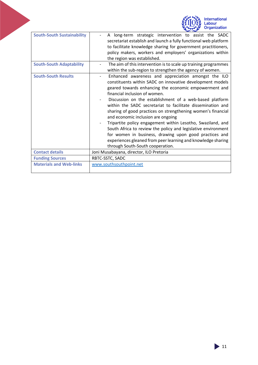<span id="page-11-0"></span>

|                                   | <b>International</b><br>Labour<br><b>Organization</b>                                                                                                                                                                                                                                                                                                                                                                                                                                                                                                                                                                                                                                                                                    |
|-----------------------------------|------------------------------------------------------------------------------------------------------------------------------------------------------------------------------------------------------------------------------------------------------------------------------------------------------------------------------------------------------------------------------------------------------------------------------------------------------------------------------------------------------------------------------------------------------------------------------------------------------------------------------------------------------------------------------------------------------------------------------------------|
| <b>South-South Sustainability</b> | A long-term strategic intervention to assist the SADC<br>secretariat establish and launch a fully functional web platform<br>to facilitate knowledge sharing for government practitioners,<br>policy makers, workers and employers' organizations within<br>the region was established.                                                                                                                                                                                                                                                                                                                                                                                                                                                  |
| <b>South-South Adaptability</b>   | The aim of this intervention is to scale up training programmes<br>within the sub-region to strengthen the agency of women.                                                                                                                                                                                                                                                                                                                                                                                                                                                                                                                                                                                                              |
| <b>South-South Results</b>        | Enhanced awareness and appreciation amongst the ILO<br>constituents within SADC on innovative development models<br>geared towards enhancing the economic empowerment and<br>financial inclusion of women.<br>Discussion on the establishment of a web-based platform<br>within the SADC secretariat to facilitate dissemination and<br>sharing of good practices on strengthening women's financial<br>and economic inclusion are ongoing<br>Tripartite policy engagement within Lesotho, Swaziland, and<br>South Africa to review the policy and legislative environment<br>for women in business, drawing upon good practices and<br>experiences gleaned from peer learning and knowledge sharing<br>through South-South cooperation. |
| <b>Contact details</b>            | Joni Musabayana, director, ILO Pretoria                                                                                                                                                                                                                                                                                                                                                                                                                                                                                                                                                                                                                                                                                                  |
| <b>Funding Sources</b>            | RBTC-SSTC, SADC                                                                                                                                                                                                                                                                                                                                                                                                                                                                                                                                                                                                                                                                                                                          |
| <b>Materials and Web-links</b>    | www.southsouthpoint.net                                                                                                                                                                                                                                                                                                                                                                                                                                                                                                                                                                                                                                                                                                                  |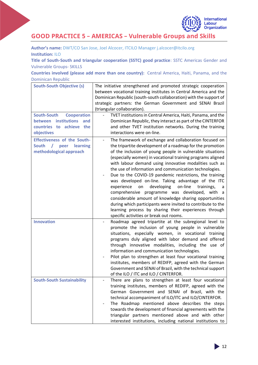

## **GOOD PRACTICE 5 – AMERICAS – Vulnerable Groups and Skills**

**Author's name:** DWT/CO San Jose, Joel Alcocer, ITCILO Manager [j.alcocer@itcilo.org](mailto:j.alcocer@itcilo.org) **Institution:** ILO

**Title of South-South and triangular cooperation (SSTC) good practice**: SSTC Americas Gender and Vulnerable Groups- SKILLS

**Countries involved (please add more than one country):** Central America, Haiti, Panama, and the Dominican Republic

| <b>South-South Objective (s)</b><br><b>South-South</b><br><b>Cooperation</b><br><b>institutions</b><br><b>between</b><br>and<br>countries to achieve the<br>objectives | The initiative strengthened and promoted strategic cooperation<br>between vocational training institutes in Central America and the<br>Dominican Republic (south-south collaboration) with the support of<br>strategic partners: the German Government and SENAI Brazil<br>(triangular collaboration).<br>TVET institutions in Central America, Haiti, Panama, and the<br>Dominican Republic, they interact as part of the CINTERFOR<br>and other TVET institution networks. During the training<br>interactions were on-line.                                                                                                                                                                                                                                                                                                    |
|------------------------------------------------------------------------------------------------------------------------------------------------------------------------|-----------------------------------------------------------------------------------------------------------------------------------------------------------------------------------------------------------------------------------------------------------------------------------------------------------------------------------------------------------------------------------------------------------------------------------------------------------------------------------------------------------------------------------------------------------------------------------------------------------------------------------------------------------------------------------------------------------------------------------------------------------------------------------------------------------------------------------|
| <b>Effectiveness of the South-</b><br><b>South</b><br>$\sqrt{ }$<br>peer<br>learning<br>methodological approach                                                        | The framework of exchange and collaboration focused on<br>the tripartite development of a roadmap for the promotion<br>of the inclusion of young people in vulnerable situations<br>(especially women) in vocational training programs aligned<br>with labour demand using innovative modalities such as<br>the use of information and communication technologies.<br>Due to the COVID-19 pandemic restrictions, the training<br>was developed on-line. Taking advantage of the ITC<br>developing<br>on-line<br>trainings,<br>experience<br>on<br>a<br>comprehensive programme was developed, with a<br>considerable amount of knowledge sharing opportunities<br>during which participants were invited to contribute to the<br>learning process by sharing their experiences through<br>specific activities or break out rooms. |
| <b>Innovation</b>                                                                                                                                                      | Roadmap agreed tripartite at the subregional level to<br>promote the inclusion of young people in vulnerable<br>situations, especially women, in vocational training<br>programs duly aligned with labor demand and offered<br>through innovative modalities, including the use of<br>information and communication technologies.<br>Pilot plan to strengthen at least four vocational training<br>institutes, members of REDIFP, agreed with the German<br>Government and SENAI of Brazil, with the technical support<br>of the ILO / ITC and ILO / CINTERFOR.                                                                                                                                                                                                                                                                   |
| <b>South-South Sustainability</b>                                                                                                                                      | There are plans to strengthen at least four vocational<br>training institutes, members of REDIFP, agreed with the<br>German Government and SENAI of Brazil, with the<br>technical accompaniment of ILO/ITC and ILO/CINTERFOR.<br>The Roadmap mentioned above describes the steps<br>towards the development of financial agreements with the<br>triangular partners mentioned above and with other<br>interested institutions, including national institutions to                                                                                                                                                                                                                                                                                                                                                                 |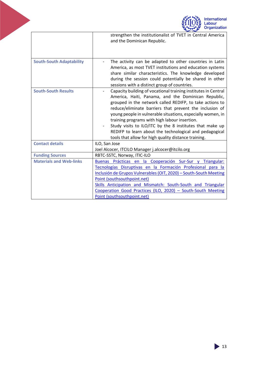<span id="page-13-0"></span>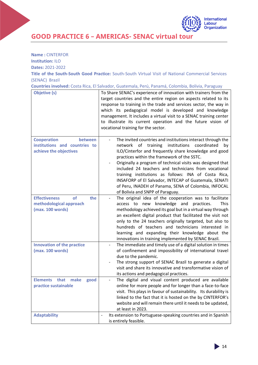

**GOOD PRACTICE 6 – AMERICAS- SENAC virtual tour**

| <b>Name: CINTERFOR</b> |  |
|------------------------|--|
|------------------------|--|

**Institution:** ILO

**Dates:** 2021-2022

**Title of the South-South Good Practice:** South-South Virtual Visit of National Commercial Services (SENAC) Brazil

**Countries involved:** Costa Rica, El Salvador, Guatemala, Perú, Panamá, Colombia, Bolivia, Paraguay

| <b>Objetive (s)</b>                                                                      | To Share SENAC's experience of innovation with trainers from the<br>target countries and the entire region on aspects related to its<br>response to training in the trade and services sector, the way in<br>which its pedagogical model is developed and knowledge<br>management. It includes a virtual visit to a SENAC training center<br>to illustrate its current operation and the future vision of<br>vocational training for the sector.                                                                                                                   |  |  |
|------------------------------------------------------------------------------------------|--------------------------------------------------------------------------------------------------------------------------------------------------------------------------------------------------------------------------------------------------------------------------------------------------------------------------------------------------------------------------------------------------------------------------------------------------------------------------------------------------------------------------------------------------------------------|--|--|
| <b>Cooperation</b><br>between<br>institutions and countries to<br>achieve the objectives | The invited countries and institutions interact through the<br>network of training<br>institutions<br>coordinated<br>by<br>ILO/Cinterfor and frequently share knowledge and good<br>practices within the framework of the SSTC.<br>Originally a program of technical visits was designed that<br>included 24 teachers and technicians from vocational<br>training institutions as follows: INA of Costa Rica,<br>INSAFORP of El Salvador, INTECAP of Guatemala, SENATI<br>of Peru, INADEH of Panama, SENA of Colombia, INFOCAL<br>of Bolivia and SNPP of Paraguay. |  |  |
| <b>Effectiveness</b><br>the<br><b>of</b><br>methodological approach<br>(max. 100 words)  | The original idea of the cooperation was to facilitate<br>access to new knowledge and practices.<br>This<br>methodology achieved its goal but in a virtual way through<br>an excellent digital product that facilitated the visit not<br>only to the 24 teachers originally targeted, but also to<br>hundreds of teachers and technicians interested in<br>learning and expanding their knowledge about the<br>innovations in training implemented by SENAC Brazil.                                                                                                |  |  |
| <b>Innovation of the practice</b><br>(max. 100 words)                                    | The immediate and timely use of a digital solution in times<br>of confinement and impossibility of international travel<br>due to the pandemic.<br>The strong support of SENAC Brazil to generate a digital<br>visit and share its innovative and transformative vision of<br>its actions and pedagogical practices.                                                                                                                                                                                                                                               |  |  |
| <b>Elements</b><br>that<br>make<br>good<br>practice sustainable                          | The digital and visual content produced are available<br>online for more people and for longer than a face-to-face<br>visit. This plays in favour of sustainability. Its durability is<br>linked to the fact that it is hosted on the by CINTERFOR's<br>website and will remain there until it needs to be updated,<br>at least in 2023.                                                                                                                                                                                                                           |  |  |
| <b>Adaptability</b>                                                                      | Its extension to Portuguese-speaking countries and in Spanish<br>$\overline{\phantom{a}}$<br>is entirely feasible.                                                                                                                                                                                                                                                                                                                                                                                                                                                 |  |  |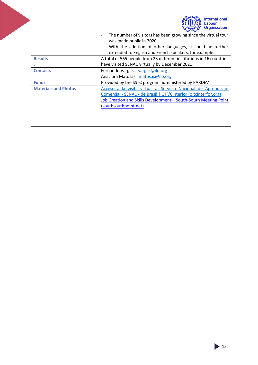<span id="page-15-0"></span>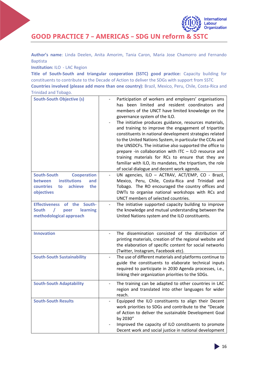

**GOOD PRACTICE 7 – AMERICAS – SDG UN reform & SSTC**

**Author's name**: Linda Deelen, Anita Amorim, Tania Caron, Maria Jose Chamorro and Fernando Baptista

**Institution:** ILO - LAC Region

**Title of South-South and triangular cooperation (SSTC) good practice:** Capacity building for constituents to contribute to the Decade of Action to deliver the SDGs with support from SSTC **Countries involved (please add more than one country):** Brazil, Mexico, Peru, Chile, Costa-Rica and Trinidad and Tobago.

| <b>South-South Objective (s)</b><br><b>South-South</b><br><b>Cooperation</b><br><b>institutions</b><br>between<br>and<br>achieve<br>countries<br>the<br>to<br>objectives<br><b>Effectiveness</b><br>South-<br>of the<br><b>South</b><br>learning<br>peer<br>methodological approach | Participation of workers and employers' organisations<br>has been limited and resident coordinators and<br>members of the UNCT have limited knowledge on the<br>governance system of the ILO.<br>The initiative produces guidance, resources materials,<br>and training to improve the engagement of tripartite<br>constituents in national development strategies related<br>to the United Nations System, in particular the CCAs and<br>the UNSDCFs. The initiative also supported the office to<br>prepare -in collaboration with ITC - ILO resource and<br>training materials for RCs to ensure that they are<br>familiar with ILO, its mandates, the tripartism, the role<br>of social dialogue and decent work agenda.<br>UN agencies, ILO - ACTRAV, ACT/EMP, CO - Brazil,<br>Mexico, Peru, Chile, Costa-Rica and Trinidad and<br>Tobago. The RO encouraged the country offices and<br>DWTs to organise national workshops with RCs and<br>UNCT members of selected countries.<br>The initiative supported capacity building to improve<br>the knowledge and mutual understanding between the<br>United Nations system and the ILO constituents. |
|-------------------------------------------------------------------------------------------------------------------------------------------------------------------------------------------------------------------------------------------------------------------------------------|--------------------------------------------------------------------------------------------------------------------------------------------------------------------------------------------------------------------------------------------------------------------------------------------------------------------------------------------------------------------------------------------------------------------------------------------------------------------------------------------------------------------------------------------------------------------------------------------------------------------------------------------------------------------------------------------------------------------------------------------------------------------------------------------------------------------------------------------------------------------------------------------------------------------------------------------------------------------------------------------------------------------------------------------------------------------------------------------------------------------------------------------------------|
| <b>Innovation</b>                                                                                                                                                                                                                                                                   | The dissemination consisted of the distribution of<br>printing materials, creation of the regional website and<br>the elaboration of specific content for social networks<br>(Twitter, Instagram, Facebook etc).                                                                                                                                                                                                                                                                                                                                                                                                                                                                                                                                                                                                                                                                                                                                                                                                                                                                                                                                       |
| <b>South-South Sustainability</b>                                                                                                                                                                                                                                                   | The use of different materials and platforms continue to<br>$\overline{\phantom{0}}$<br>guide the constituents to elaborate technical inputs<br>required to participate in 2030 Agenda processes, i.e.,<br>linking their organization priorities to the SDGs.                                                                                                                                                                                                                                                                                                                                                                                                                                                                                                                                                                                                                                                                                                                                                                                                                                                                                          |
| <b>South-South Adaptability</b>                                                                                                                                                                                                                                                     | The training can be adapted to other countries in LAC<br>region and translated into other languages for wider<br>reach.                                                                                                                                                                                                                                                                                                                                                                                                                                                                                                                                                                                                                                                                                                                                                                                                                                                                                                                                                                                                                                |
| <b>South-South Results</b>                                                                                                                                                                                                                                                          | Equipped the ILO constituents to align their Decent<br>work priorities to SDGs and contribute to the "Decade<br>of Action to deliver the sustainable Development Goal<br>by 2030"<br>Improved the capacity of ILO constituents to promote<br>Decent work and social justice in national development                                                                                                                                                                                                                                                                                                                                                                                                                                                                                                                                                                                                                                                                                                                                                                                                                                                    |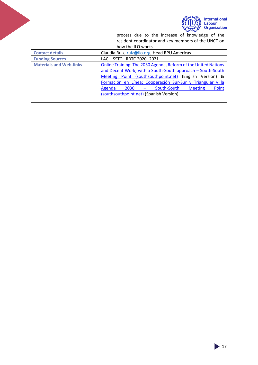

<span id="page-17-0"></span>

|                                | process due to the increase of knowledge of the<br>resident coordinator and key members of the UNCT on |
|--------------------------------|--------------------------------------------------------------------------------------------------------|
|                                | how the ILO works.                                                                                     |
|                                |                                                                                                        |
| <b>Contact details</b>         | Claudia Ruiz, ruiz@ilo.org, Head RPU Americas                                                          |
| <b>Funding Sources</b>         | LAC - SSTC - RBTC 2020-2021                                                                            |
| <b>Materials and Web-links</b> | Online Training: The 2030 Agenda, Reform of the United Nations                                         |
|                                | and Decent Work, with a South-South approach - South-South                                             |
|                                | Meeting Point (southsouthpoint.net) (English Version) &                                                |
|                                | Formación en Línea: Cooperación Sur-Sur y Triangular y la                                              |
|                                | 2030 - South-South Meeting<br>Point<br>Agenda                                                          |
|                                | (southsouthpoint.net) (Spanish Version)                                                                |
|                                |                                                                                                        |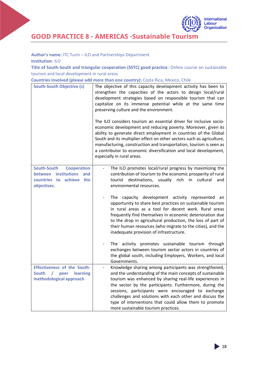

**GOOD PRACTICE 8 - AMERICAS -Sustainable Tourism**

**Author's name:** ITC Turin – ILO and Partnerships Department

**Institution**: ILO

**Title of South-South and triangular cooperation (SSTC) good practice**: Online course on sustainable tourism and local development in rural areas

**Countries involved (please add more than one country):** Costa Rica, Mexico, Chile

| <b>South-South Objective (s)</b>                                                                                   | The objective of this capacity development activity has been to<br>strengthen the capacities of the actors to design local/rural<br>development strategies based on responsible tourism that can<br>capitalize on its immense potential while at the same time<br>preserving culture and the environment.                                                                                                                                                     |
|--------------------------------------------------------------------------------------------------------------------|---------------------------------------------------------------------------------------------------------------------------------------------------------------------------------------------------------------------------------------------------------------------------------------------------------------------------------------------------------------------------------------------------------------------------------------------------------------|
|                                                                                                                    | The ILO considers tourism an essential driver for inclusive socio-<br>economic development and reducing poverty. Moreover, given its<br>ability to generate direct employment in countries of the Global<br>South and its multiplier effect on other sectors such as agriculture,<br>manufacturing, construction and transportation, tourism is seen as<br>a contributor to economic diversification and local development,<br>especially in rural areas.     |
| <b>South-South</b><br><b>Cooperation</b><br>between institutions<br>and<br>countries to achieve the<br>objectives. | The ILO promotes local/rural progress by maximizing the<br>contribution of tourism to the economic prosperity of rural<br>tourist destinations, usually rich in cultural<br>and<br>environmental resources.                                                                                                                                                                                                                                                   |
|                                                                                                                    | The capacity development activity represented an<br>opportunity to share best practices on sustainable tourism<br>in rural areas as a tool for decent work. Rural areas<br>frequently find themselves in economic deterioration due<br>to the drop in agricultural production, the loss of part of<br>their human resources (who migrate to the cities), and the<br>inadequate provision of infrastructure.                                                   |
|                                                                                                                    | The activity promotes sustainable tourism through<br>exchanges between tourism sector actors in countries of<br>the global south, including Employers, Workers, and local<br>Governments.                                                                                                                                                                                                                                                                     |
| <b>Effectiveness of the South-</b><br>learning<br>South<br>$\sqrt{2}$<br>peer<br>methodological approach           | Knowledge sharing among participants was strengthened,<br>and the understanding of the main concepts of sustainable<br>tourism was enhanced by sharing real-life experiences in<br>the sector by the participants. Furthermore, during the<br>sessions, participants were encouraged to exchange<br>challenges and solutions with each other and discuss the<br>type of interventions that could allow them to promote<br>more sustainable tourism practices. |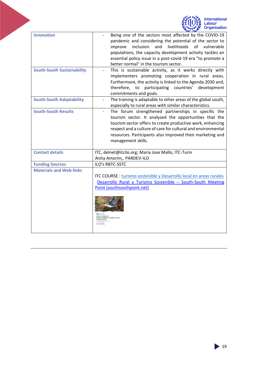

<span id="page-19-0"></span>

| <b>Innovation</b>                 | Being one of the sectors most affected by the COVID-19<br>pandemic and considering the potential of the sector to<br>livelihoods<br>of vulnerable<br>improve<br>inclusion<br>and<br>populations, the capacity development activity tackles an<br>essential policy issue in a post-covid-19 era "to promote a<br>better normal" in the tourism sector. |
|-----------------------------------|-------------------------------------------------------------------------------------------------------------------------------------------------------------------------------------------------------------------------------------------------------------------------------------------------------------------------------------------------------|
| <b>South-South Sustainability</b> | This is sustainable activity, as it works directly with<br>implementers promoting cooperation in rural areas.<br>Furthermore, the activity is linked to the Agenda 2030 and,<br>participating countries'<br>therefore,<br>development<br>to<br>commitments and goals.                                                                                 |
| <b>South-South Adaptability</b>   | The training is adaptable to other areas of the global south,<br>especially to rural areas with similar characteristics.                                                                                                                                                                                                                              |
| <b>South-South Results</b>        | The forum strengthened partnerships in specific the<br>tourism sector. It analysed the opportunities that the<br>tourism sector offers to create productive work, enhancing<br>respect and a culture of care for cultural and environmental<br>resources. Participants also improved their marketing and<br>management skills.                        |
| <b>Contact details</b>            | ITC, delnet@itcilo.org; Maria Jose Mallo, ITC-Turin<br>Anita Amorim,. PARDEV-ILO                                                                                                                                                                                                                                                                      |
| <b>Funding Sources</b>            | ILO's RBTC-SSTC                                                                                                                                                                                                                                                                                                                                       |
| <b>Materials and Web-links</b>    | ITC COURSE : turismo sostenible y Desarrollo local en areas rurales<br>Desarrollo Rural y Turismo Sostenible - South-South Meeting<br>Point (southsouthpoint.net)<br>CURSO & RESTANCIA FM<br>TURISMO SOSTENIBLE Y DESARROLLO LOCAL<br>EN ÁREAS RURALES<br>ola bilerotaliza                                                                            |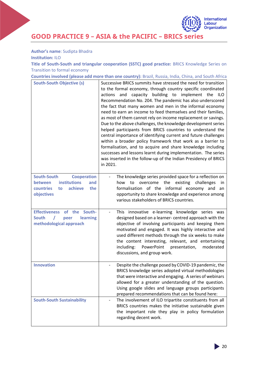

**GOOD PRACTICE 9 – ASIA & the PACIFIC – BRICS series**

**Author's name**: Sudipta Bhadra **Institution:** ILO

**Title of South-South and triangular cooperation (SSTC) good practice:** BRICS Knowledge Series on Transition to formal economy

| Countries involved (please add more than one country): Brazil, Russia, India, China, and South Africa                         |                                                                                                                                                                                                                                                                                                                                                                                                                                                                                                                                                                                                                                                                                                                                                                                                                                                                                                                                              |  |
|-------------------------------------------------------------------------------------------------------------------------------|----------------------------------------------------------------------------------------------------------------------------------------------------------------------------------------------------------------------------------------------------------------------------------------------------------------------------------------------------------------------------------------------------------------------------------------------------------------------------------------------------------------------------------------------------------------------------------------------------------------------------------------------------------------------------------------------------------------------------------------------------------------------------------------------------------------------------------------------------------------------------------------------------------------------------------------------|--|
| <b>South-South Objective (s)</b>                                                                                              | Successive BRICS summits have stressed the need for transition<br>to the formal economy, through country specific coordinated<br>and capacity building to implement the<br>actions<br><b>ILO</b><br>Recommendation No. 204. The pandemic has also underscored<br>the fact that many women and men in the informal economy<br>need to earn an income to feed themselves and their families,<br>as most of them cannot rely on income replacement or savings.<br>Due to the above challenges, the knowledge development series<br>helped participants from BRICS countries to understand the<br>central importance of identifying current and future challenges<br>within a broader policy framework that work as a barrier to<br>formalisation, and to acquire and share knowledge including<br>successes and lessons learnt during implementation. The series<br>was inserted in the follow-up of the Indian Presidency of BRICS<br>in 2021. |  |
| <b>South-South</b><br><b>Cooperation</b><br>institutions<br>between<br>and<br>achieve<br>countries<br>the<br>to<br>objectives | The knowledge series provided space for a reflection on<br>the existing<br>overcome<br>challenges<br>how<br>to<br><sub>in</sub><br>formalisation of the informal economy and<br>an<br>opportunity to share knowledge and experience among<br>various stakeholders of BRICS countries.                                                                                                                                                                                                                                                                                                                                                                                                                                                                                                                                                                                                                                                        |  |
| of the<br>South-<br><b>Effectiveness</b><br><b>South</b><br>learning<br>peer<br>methodological approach                       | This innovative e-learning knowledge series was<br>designed based on a learner- centred approach with the<br>objective of involving participants and keeping them<br>motivated and engaged. It was highly interactive and<br>used different methods through the six weeks to make<br>the content interesting, relevant, and entertaining<br>moderated<br>including:<br>PowerPoint<br>presentation,<br>discussions, and group work.                                                                                                                                                                                                                                                                                                                                                                                                                                                                                                           |  |
| <b>Innovation</b>                                                                                                             | Despite the challenge posed by COVID-19 pandemic, the<br>BRICS knowledge series adopted virtual methodologies<br>that were interactive and engaging. A series of webinars<br>allowed for a greater understanding of the question.<br>Using google slides and language groups participants<br>prepared recommendations that can be found here:                                                                                                                                                                                                                                                                                                                                                                                                                                                                                                                                                                                                |  |
| <b>South-South Sustainability</b>                                                                                             | The involvement of ILO tripartite constituents from all<br>BRICS countries makes the initiative sustainable given<br>the important role they play in policy formulation<br>regarding decent work.                                                                                                                                                                                                                                                                                                                                                                                                                                                                                                                                                                                                                                                                                                                                            |  |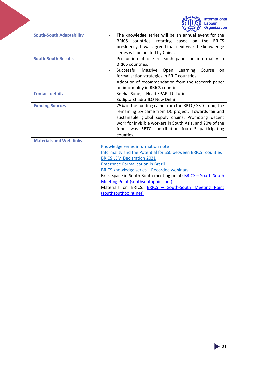



<span id="page-21-0"></span>

| <b>South-South Adaptability</b> | The knowledge series will be an annual event for the                 |  |  |
|---------------------------------|----------------------------------------------------------------------|--|--|
|                                 | BRICS countries, rotating based<br>on the<br><b>BRICS</b>            |  |  |
|                                 | presidency. It was agreed that next year the knowledge               |  |  |
|                                 | series will be hosted by China.                                      |  |  |
| <b>South-South Results</b>      | Production of one research paper on informality in                   |  |  |
|                                 | <b>BRICS countries.</b>                                              |  |  |
|                                 | Successful<br>Massive<br>Learning<br>Open<br>Course<br>on            |  |  |
|                                 | formalisation strategies in BRIC countries.                          |  |  |
|                                 | Adoption of recommendation from the research paper                   |  |  |
|                                 | on informality in BRICS counties.                                    |  |  |
| <b>Contact details</b>          | Snehal Soneji - Head EPAP ITC Turin                                  |  |  |
|                                 | Sudipta Bhadra-ILO New Delhi                                         |  |  |
| <b>Funding Sources</b>          | 75% of the funding came from the RBTC/SSTC fund, the                 |  |  |
|                                 | remaining 5% came from DC project: 'Towards fair and                 |  |  |
|                                 | sustainable global supply chains: Promoting decent                   |  |  |
|                                 | work for invisible workers in South Asia, and 20% of the             |  |  |
|                                 | funds was RBTC contribution from 5 participating                     |  |  |
|                                 | counties.                                                            |  |  |
| <b>Materials and Web-links</b>  |                                                                      |  |  |
|                                 | Knowledge series information note                                    |  |  |
|                                 | Informality and the Potential for SSC between BRICS counties         |  |  |
|                                 | <b>BRICS LEM Declaration 2021</b>                                    |  |  |
|                                 | <b>Enterprise Formalisation in Brazil</b>                            |  |  |
|                                 | <b>BRICS knowledge series - Recorded webinars</b>                    |  |  |
|                                 | Brics Space in South-South meeting point: <b>BRICS - South-South</b> |  |  |
|                                 | <b>Meeting Point (southsouthpoint.net)</b>                           |  |  |
|                                 | Materials on BRICS: <b>BRICS - South-South Meeting Point</b>         |  |  |
|                                 | (southsouthpoint.net)                                                |  |  |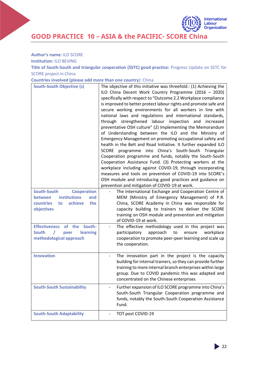

**GOOD PRACTICE 10 – ASIA & the PACIFIC- SCORE China**

**Author's name:** ILO SCORE

**Institution:** ILO BEIJING

**Title of South-South and triangular cooperation (SSTC) good practice:** Progress Update on SSTC for SCORE project in China

| Countries involved (please add more than one country): China |  |  |  |  |
|--------------------------------------------------------------|--|--|--|--|
|--------------------------------------------------------------|--|--|--|--|

| <b>South-South Objective (s)</b>                                            | The objective of this initiative was threefold:: (1) Achieving the<br>ILO China Decent Work Country Programme (2016 - 2020)<br>specifically with respect to "Outcome 2.2 Workplace compliance<br>is improved to better protect labour rights and promote safe and<br>secure working environments for all workers in line with<br>national laws and regulations and international standards,<br>through strengthened labour inspection and<br>increased<br>preventative OSH culture" (2) Implementing the Memorandum<br>of Understanding between the ILO and the Ministry of<br>Emergency Management on promoting occupational safety and<br>health in the Belt and Road Initiative. It further expanded ILO<br>SCORE programme into China's South-South Triangular<br>Cooperation programme and funds, notably the South-South<br>Cooperation Assistance Fund. (3) Protecting workers at the<br>workplace including against COVID-19, through incorporating<br>measures and tools on prevention of COVID-19 into SCORE's<br>OSH module and introducing good practices and guidance on<br>prevention and mitigation of COVID-19 at work. |
|-----------------------------------------------------------------------------|-----------------------------------------------------------------------------------------------------------------------------------------------------------------------------------------------------------------------------------------------------------------------------------------------------------------------------------------------------------------------------------------------------------------------------------------------------------------------------------------------------------------------------------------------------------------------------------------------------------------------------------------------------------------------------------------------------------------------------------------------------------------------------------------------------------------------------------------------------------------------------------------------------------------------------------------------------------------------------------------------------------------------------------------------------------------------------------------------------------------------------------------|
| South-South<br><b>Cooperation</b>                                           | The International Exchange and Cooperation Centre of                                                                                                                                                                                                                                                                                                                                                                                                                                                                                                                                                                                                                                                                                                                                                                                                                                                                                                                                                                                                                                                                                    |
| <b>institutions</b><br><b>between</b><br>and<br>achieve<br>countries<br>the | MEM (Ministry of Emergency Management) of P.R.                                                                                                                                                                                                                                                                                                                                                                                                                                                                                                                                                                                                                                                                                                                                                                                                                                                                                                                                                                                                                                                                                          |
| to<br>objectives                                                            | China, SCORE Academy in China was responsible for<br>capacity building to trainers to deliver the SCORE                                                                                                                                                                                                                                                                                                                                                                                                                                                                                                                                                                                                                                                                                                                                                                                                                                                                                                                                                                                                                                 |
|                                                                             | training on OSH module and prevention and mitigation<br>of COVID-19 at work.                                                                                                                                                                                                                                                                                                                                                                                                                                                                                                                                                                                                                                                                                                                                                                                                                                                                                                                                                                                                                                                            |
| <b>Effectiveness</b><br>of the<br>South-                                    | The effective methodology used in this project was                                                                                                                                                                                                                                                                                                                                                                                                                                                                                                                                                                                                                                                                                                                                                                                                                                                                                                                                                                                                                                                                                      |
| <b>South</b><br>learning<br>peer<br>methodological approach                 | participatory<br>approach<br>to<br>ensure<br>workplace<br>cooperation to promote peer-peer learning and scale up                                                                                                                                                                                                                                                                                                                                                                                                                                                                                                                                                                                                                                                                                                                                                                                                                                                                                                                                                                                                                        |
|                                                                             | the cooperation.                                                                                                                                                                                                                                                                                                                                                                                                                                                                                                                                                                                                                                                                                                                                                                                                                                                                                                                                                                                                                                                                                                                        |
| <b>Innovation</b>                                                           | The innovation part in the project is the capacity                                                                                                                                                                                                                                                                                                                                                                                                                                                                                                                                                                                                                                                                                                                                                                                                                                                                                                                                                                                                                                                                                      |
|                                                                             | building for internal trainers, so they can provide further<br>training to more internal branch enterprises within large                                                                                                                                                                                                                                                                                                                                                                                                                                                                                                                                                                                                                                                                                                                                                                                                                                                                                                                                                                                                                |
|                                                                             | group. Due to COVID pandemic this was adapted and                                                                                                                                                                                                                                                                                                                                                                                                                                                                                                                                                                                                                                                                                                                                                                                                                                                                                                                                                                                                                                                                                       |
|                                                                             | concentrated on the Chinese enterprises                                                                                                                                                                                                                                                                                                                                                                                                                                                                                                                                                                                                                                                                                                                                                                                                                                                                                                                                                                                                                                                                                                 |
| <b>South-South Sustainability</b>                                           | Further expansion of ILO SCORE programme into China's<br>South-South Triangular Cooperation programme and                                                                                                                                                                                                                                                                                                                                                                                                                                                                                                                                                                                                                                                                                                                                                                                                                                                                                                                                                                                                                               |
|                                                                             | funds, notably the South-South Cooperation Assistance                                                                                                                                                                                                                                                                                                                                                                                                                                                                                                                                                                                                                                                                                                                                                                                                                                                                                                                                                                                                                                                                                   |
|                                                                             | Fund.                                                                                                                                                                                                                                                                                                                                                                                                                                                                                                                                                                                                                                                                                                                                                                                                                                                                                                                                                                                                                                                                                                                                   |
| <b>South-South Adaptability</b>                                             | TOT post COVID-19                                                                                                                                                                                                                                                                                                                                                                                                                                                                                                                                                                                                                                                                                                                                                                                                                                                                                                                                                                                                                                                                                                                       |

 $\geq$  22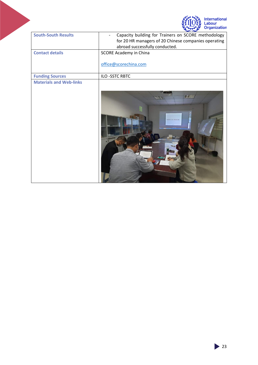<span id="page-23-0"></span>

|                                | International<br>Labour<br>Organization                                                                                                       |
|--------------------------------|-----------------------------------------------------------------------------------------------------------------------------------------------|
| <b>South-South Results</b>     | Capacity building for Trainers on SCORE methodology<br>for 20 HR managers of 20 Chinese companies operating<br>abroad successfully conducted. |
| <b>Contact details</b>         | <b>SCORE Academy in China</b><br>office@scorechina.com                                                                                        |
| <b>Funding Sources</b>         | ILO-SSTC RBTC                                                                                                                                 |
| <b>Materials and Web-links</b> |                                                                                                                                               |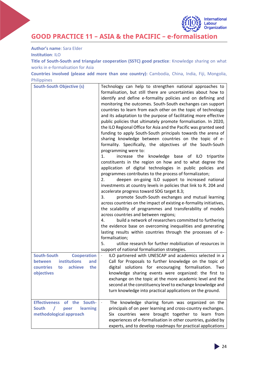**GOOD PRACTICE 11 – ASIA & the PACIFIC – e-formalisation**

**Author's name**: Sara Elder **Institution**: ILO

**Title of South-South and triangular cooperation (SSTC) good practice**: Knowledge sharing on what works in e-formalisation for Asia

**Countries involved (please add more than one country):** Cambodia, China, India, Fiji, Mongolia, Philippines

| <b>South-South Objective (s)</b>             | Technology can help to strengthen national approaches to            |
|----------------------------------------------|---------------------------------------------------------------------|
|                                              | formalisation, but still there are uncertainties about how to       |
|                                              | identify and define e-formality policies and on defining and        |
|                                              | monitoring the outcomes. South-South exchanges can support          |
|                                              | countries to learn from each other on the topic of technology       |
|                                              | and its adaptation to the purpose of facilitating more effective    |
|                                              | public policies that ultimately promote formalisation. In 2020,     |
|                                              | the ILO Regional Office for Asia and the Pacific was granted seed   |
|                                              | funding to apply South-South principals towards the arena of        |
|                                              | sharing knowledge between countries on the topic of e-              |
|                                              | formality. Specifically, the objectives of the South-South          |
|                                              | programming were to:                                                |
|                                              | increase the knowledge base of ILO tripartite<br>1.                 |
|                                              | constituents in the region on how and to what degree the            |
|                                              | application of digital technologies in public policies and          |
|                                              | programmes contributes to the process of formalizaton;              |
|                                              | deepen on-going ILO support to increased national<br>2.             |
|                                              | investments at country levels in policies that link to R. 204 and   |
|                                              | accelerate progress toward SDG target 8.3;                          |
|                                              | promote South-South exchanges and mutual learning<br>3.             |
|                                              | across countries on the impact of existing e-formality initiatives, |
|                                              | the scalability of programmes and transferability of models         |
|                                              | across countries and between regions;                               |
|                                              | build a network of researchers committed to furthering<br>4.        |
|                                              | the evidence base on overcoming inequalities and generating         |
|                                              | lasting results within countries through the processes of e-        |
|                                              | formalisation;                                                      |
|                                              | 5.<br>utilize research for further mobilization of resources in     |
|                                              | support of national formalisation strategies.                       |
| South-South<br><b>Cooperation</b>            | ILO partnered with UNESCAP and academics selected in a              |
| institutions<br><b>between</b><br>and        | Call for Proposals to further knowledge on the topic of             |
| achieve<br>countries<br>the<br>to            | digital solutions for encouraging formalisation. Two                |
| objectives                                   | knowledge sharing events were organized: the first to               |
|                                              | exchange on the topic at the more academic level and the            |
|                                              | second at the constituency level to exchange knowledge and          |
|                                              | turn knowledge into practical applications on the ground.           |
|                                              |                                                                     |
| <b>Effectiveness</b><br>of the South-        | The knowledge sharing forum was organized on the                    |
| <b>South</b><br>learning<br>$\prime$<br>peer | principals of on peer learning and cross-country exchanges.         |
| methodological approach                      | Six countries were brought together to learn from                   |
|                                              | experiences of e-formalisation in other countries, guided by        |
|                                              | experts, and to develop roadmaps for practical applications         |

 $\geq 24$ 

International Labour<br>Organization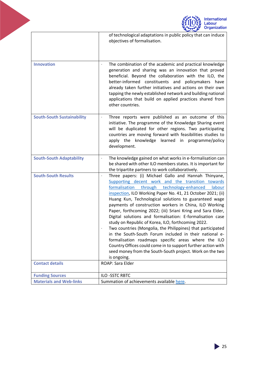<span id="page-25-0"></span>

|                                                      | <b>International</b><br>abour<br><b>Organization</b>                                                                                                                                                                                                                                                                                                                                                                                                                                                                                                                                                                                                                                                                                                                                                                                                                                      |
|------------------------------------------------------|-------------------------------------------------------------------------------------------------------------------------------------------------------------------------------------------------------------------------------------------------------------------------------------------------------------------------------------------------------------------------------------------------------------------------------------------------------------------------------------------------------------------------------------------------------------------------------------------------------------------------------------------------------------------------------------------------------------------------------------------------------------------------------------------------------------------------------------------------------------------------------------------|
|                                                      | of technological adaptations in public policy that can induce<br>objectives of formalisation.                                                                                                                                                                                                                                                                                                                                                                                                                                                                                                                                                                                                                                                                                                                                                                                             |
| <b>Innovation</b>                                    | The combination of the academic and practical knowledge<br>generation and sharing was an innovation that proved<br>beneficial. Beyond the collaboration with the ILO, the<br>better-informed constituents and policymakers have<br>already taken further initiatives and actions on their own<br>tapping the newly established network and building national<br>applications that build on applied practices shared from<br>other countries.                                                                                                                                                                                                                                                                                                                                                                                                                                              |
| <b>South-South Sustainability</b>                    | Three reports were published as an outcome of this<br>initiative. The programme of the Knowledge Sharing event<br>will be duplicated for other regions. Two participating<br>countries are moving forward with feasibilities studies to<br>apply the knowledge learned in<br>programme/policy<br>development.                                                                                                                                                                                                                                                                                                                                                                                                                                                                                                                                                                             |
| <b>South-South Adaptability</b>                      | The knowledge gained on what works in e-formalisation can<br>be shared with other ILO members states. It is important for<br>the tripartite partners to work collaboratively.                                                                                                                                                                                                                                                                                                                                                                                                                                                                                                                                                                                                                                                                                                             |
| <b>South-South Results</b><br><b>Contact details</b> | Three papers: (i) Michael Gallo and Hannah Thinyane,<br>Supporting decent work and the transition towards<br>formalisation<br>through<br>technology-enhanced<br>labour<br>inspection, ILO Working Paper No. 41, 21 October 2021; (ii)<br>Huang Kun, Technological solutions to guaranteed wage<br>payments of construction workers in China, ILO Working<br>Paper, forthcoming 2022; (iii) Sriani Kring and Sara Elder,<br>Digital solutions and formalisation: E-formalisation case<br>study on Republic of Korea, ILO, forthcoming 2022.<br>Two countries (Mongolia, the Philippines) that participated<br>in the South-South Forum included in their national e-<br>formalisation roadmaps specific areas where the ILO<br>Country Offices could come in to support further action with<br>seed money from the South-South project. Work on the two<br>is ongoing.<br>ROAP: Sara Elder |
| <b>Funding Sources</b>                               | ILO-SSTC RBTC                                                                                                                                                                                                                                                                                                                                                                                                                                                                                                                                                                                                                                                                                                                                                                                                                                                                             |
| <b>Materials and Web-links</b>                       | Summation of achievements available here.                                                                                                                                                                                                                                                                                                                                                                                                                                                                                                                                                                                                                                                                                                                                                                                                                                                 |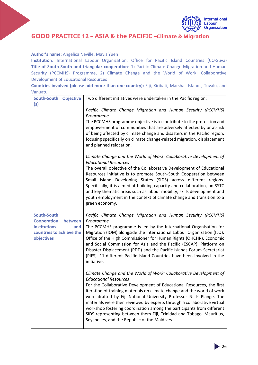

#### **GOOD PRACTICE 12 – ASIA & the PACIFIC –Climate & Migration**

#### **Author's name**: Angelica Neville, Mavis Yuen

**Institution**: International Labour Organization, Office for Pacific Island Countries (CO-Suva) **Title of South-South and triangular cooperation**: 1) Pacific Climate Change Migration and Human Security (PCCMHS) Programme, 2) Climate Change and the World of Work: Collaborative Development of Educational Resources

**Countries involved (please add more than one country):** Fiji, Kiribati, Marshall Islands, Tuvalu, and Vanuatu

| South-South Objective                                                                                 | Two different initiatives were undertaken in the Pacific region:                                                                                                                                                                                                                                                                                                                                                                                                                                                                                                                                            |
|-------------------------------------------------------------------------------------------------------|-------------------------------------------------------------------------------------------------------------------------------------------------------------------------------------------------------------------------------------------------------------------------------------------------------------------------------------------------------------------------------------------------------------------------------------------------------------------------------------------------------------------------------------------------------------------------------------------------------------|
| (s)                                                                                                   | Pacific Climate Change Migration and Human Security (PCCMHS)<br>Programme                                                                                                                                                                                                                                                                                                                                                                                                                                                                                                                                   |
|                                                                                                       | The PCCMHS programme objective is to contribute to the protection and                                                                                                                                                                                                                                                                                                                                                                                                                                                                                                                                       |
|                                                                                                       | empowerment of communities that are adversely affected by or at-risk                                                                                                                                                                                                                                                                                                                                                                                                                                                                                                                                        |
|                                                                                                       | of being affected by climate change and disasters in the Pacific region,<br>focusing specifically on climate change-related migration, displacement<br>and planned relocation.                                                                                                                                                                                                                                                                                                                                                                                                                              |
|                                                                                                       | Climate Change and the World of Work: Collaborative Development of<br><b>Educational Resources</b>                                                                                                                                                                                                                                                                                                                                                                                                                                                                                                          |
|                                                                                                       | The overall objective of the Collaborative Development of Educational<br>Resources initiative is to promote South-South Cooperation between<br>Small Island Developing States (SIDS) across different regions.<br>Specifically, it is aimed at building capacity and collaboration, on SSTC<br>and key thematic areas such as labour mobility, skills development and<br>youth employment in the context of climate change and transition to a<br>green economy.                                                                                                                                            |
| <b>South-South</b>                                                                                    | Pacific Climate Change Migration and Human Security (PCCMHS)                                                                                                                                                                                                                                                                                                                                                                                                                                                                                                                                                |
| <b>Cooperation</b><br>between<br><b>institutions</b><br>and<br>countries to achieve the<br>objectives | Programme<br>The PCCMHS programme is led by the International Organisation for<br>Migration (IOM) alongside the International Labour Organization (ILO),<br>Office of the High Commissioner for Human Rights (OHCHR), Economic<br>and Social Commission for Asia and the Pacific (ESCAP), Platform on<br>Disaster Displacement (PDD) and the Pacific Islands Forum Secretariat<br>(PIFS). 11 different Pacific Island Countries have been involved in the<br>initiative.                                                                                                                                    |
|                                                                                                       | Climate Change and the World of Work: Collaborative Development of<br><b>Educational Resources</b><br>For the Collaborative Development of Educational Resources, the first<br>iteration of training materials on climate change and the world of work<br>were drafted by Fiji National University Professor Nii-K Plange. The<br>materials were then reviewed by experts through a collaborative virtual<br>workshop fostering coordination among the participants from different<br>SIDS representing between them Fiji, Trinidad and Tobago, Mauritius,<br>Seychelles, and the Republic of the Maldives. |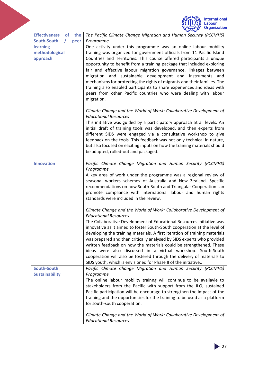|                                                                                                                | <b>International</b><br>abour<br><b>Organization</b>                                                                                                                                                                                                                                                                                                                                                                                                                                                                                                                                                                                                                                                                                                    |
|----------------------------------------------------------------------------------------------------------------|---------------------------------------------------------------------------------------------------------------------------------------------------------------------------------------------------------------------------------------------------------------------------------------------------------------------------------------------------------------------------------------------------------------------------------------------------------------------------------------------------------------------------------------------------------------------------------------------------------------------------------------------------------------------------------------------------------------------------------------------------------|
| <b>Effectiveness</b><br><b>of</b><br>the<br>South-South<br>T<br>peer<br>learning<br>methodological<br>approach | The Pacific Climate Change Migration and Human Security (PCCMHS)<br>Programme<br>One activity under this programme was an online labour mobility<br>training was organized for government officials from 11 Pacific Island<br>Countries and Territories. This course offered participants a unique<br>opportunity to benefit from a training package that included exploring<br>fair and effective labour migration governance, linkages between<br>migration and sustainable development and instruments<br>and<br>mechanisms for protecting the rights of migrants and their families. The<br>training also enabled participants to share experiences and ideas with<br>peers from other Pacific countries who were dealing with labour<br>migration. |
|                                                                                                                | Climate Change and the World of Work: Collaborative Development of<br><b>Educational Resources</b><br>This initiative was guided by a participatory approach at all levels. An<br>initial draft of training tools was developed, and then experts from<br>different SIDS were engaged via a consultative workshop to give<br>feedback on the tools. This feedback was not only technical in nature,<br>but also focused on eliciting inputs on how the training materials should<br>be adapted, rolled-out and packaged.                                                                                                                                                                                                                                |
| <b>Innovation</b>                                                                                              | Pacific Climate Change Migration and Human Security (PCCMHS)<br>Programme<br>A key area of work under the programme was a regional review of<br>seasonal workers schemes of Australia and New Zealand. Specific<br>recommendations on how South-South and Triangular Cooperation can<br>promote compliance with international labour and human rights<br>standards were included in the review.                                                                                                                                                                                                                                                                                                                                                         |
|                                                                                                                | Climate Change and the World of Work: Collaborative Development of<br><b>Educational Resources</b><br>The Collaborative Development of Educational Resources initiative was<br>innovative as it aimed to foster South-South cooperation at the level of<br>developing the training materials. A first iteration of training materials<br>was prepared and then critically analysed by SIDS experts who provided<br>written feedback on how the materials could be strengthened. These<br>ideas were also discussed in a virtual workshop. South-South<br>cooperation will also be fostered through the delivery of materials to<br>SIDS youth, which is envisioned for Phase II of the initiative                                                       |
| South-South<br><b>Sustainability</b>                                                                           | Pacific Climate Change Migration and Human Security (PCCMHS)<br>Programme<br>The online labour mobility trainng will continue to be availavle to<br>stakeholders from the Pacific with support from the ILO, sustained<br>Pacific participation will be encourage to strengthen the impact of the<br>training and the opportunities for the training to be used as a platform<br>for south-south cooperation.<br>Climate Change and the World of Work: Collaborative Development of<br><b>Educational Resources</b>                                                                                                                                                                                                                                     |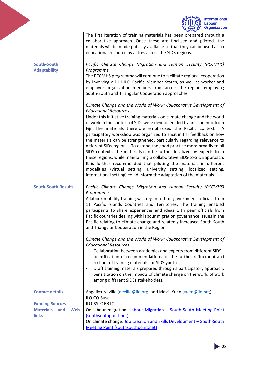|                                                 | <b>International</b><br>Labour<br>Organization                                                                                                                                                                                                                                                                                                                                                                                                                                                                                                                                                                                                                                                                                                                                                                                                                                                                                         |
|-------------------------------------------------|----------------------------------------------------------------------------------------------------------------------------------------------------------------------------------------------------------------------------------------------------------------------------------------------------------------------------------------------------------------------------------------------------------------------------------------------------------------------------------------------------------------------------------------------------------------------------------------------------------------------------------------------------------------------------------------------------------------------------------------------------------------------------------------------------------------------------------------------------------------------------------------------------------------------------------------|
|                                                 | The first iteration of training materials has been prepared through a<br>collaborative approach. Once these are finalised and piloted, the<br>materials will be made publicly available so that they can be used as an<br>educational resource by actors across the SIDS regions.                                                                                                                                                                                                                                                                                                                                                                                                                                                                                                                                                                                                                                                      |
| South-South<br><b>Adaptability</b>              | Pacific Climate Change Migration and Human Security (PCCMHS)<br>Programme<br>The PCCMHS programme will continue to facilitate regional cooperation<br>by involving all 11 ILO Pacific Member States, as well as worker and<br>employer organization members from across the region, employing<br>South-South and Triangular Cooperation approaches.                                                                                                                                                                                                                                                                                                                                                                                                                                                                                                                                                                                    |
|                                                 | Climate Change and the World of Work: Collaborative Development of<br><b>Educational Resources</b><br>Under this initiative training materials on climate change and the world<br>of work in the context of SIDs were developed, led by an academic from<br>Fiji. The materials therefore emphasised the Pacific context.<br>A<br>participatory workshop was organized to elicit initial feedback on how<br>the materials can be strengthened, particularly regarding relevance to<br>different SIDs regions. To extend the good practice more broadly to all<br>SIDS contexts, the materials can be further localized by experts from<br>these regions, while maintaining a collaborative SIDS-to-SIDS approach.<br>It is further recommended that piloting the materials in different<br>modalities (virtual setting, university setting, localized setting,<br>international setting) could inform the adaptation of the materials. |
| <b>South-South Results</b>                      | Pacific Climate Change Migration and Human Security (PCCMHS)<br>Programme<br>A labour mobility training was organised for government officials from<br>11 Pacific Islands Countries and Territories. The training enabled<br>participants to share experiences and ideas with peer officials from<br>Pacific countries dealing with labour migration governance issues in the<br>Pacific relating to climate change and relatedly increased South-South<br>and Triangular Cooperation in the Region.                                                                                                                                                                                                                                                                                                                                                                                                                                   |
|                                                 | Climate Change and the World of Work: Collaborative Development of<br><b>Educational Resources</b><br>Collaboration between academics and experts from different SIDS<br>Identification of recommendations for the further refinement and<br>roll-out of training materials for SIDS youth<br>Draft training materials prepared through a participatory approach.<br>Sensitization on the impacts of climate change on the world of work<br>$\blacksquare$<br>among different SIDSs stakeholders.                                                                                                                                                                                                                                                                                                                                                                                                                                      |
| <b>Contact details</b>                          | Angelica Neville (neville@ilo.org) and Mavis Yuen (yuen@ilo.org)<br>ILO CO-Suva                                                                                                                                                                                                                                                                                                                                                                                                                                                                                                                                                                                                                                                                                                                                                                                                                                                        |
| <b>Funding Sources</b>                          | <b>ILO-SSTC RBTC</b>                                                                                                                                                                                                                                                                                                                                                                                                                                                                                                                                                                                                                                                                                                                                                                                                                                                                                                                   |
| <b>Materials</b><br>Web-<br>and<br><b>links</b> | On labour migration: Labour Migration - South-South Meeting Point<br>(southsouthpoint.net)<br>On climate change: Job Creation and Skills Development - South-South                                                                                                                                                                                                                                                                                                                                                                                                                                                                                                                                                                                                                                                                                                                                                                     |
|                                                 | <b>Meeting Point (southsouthpoint.net)</b>                                                                                                                                                                                                                                                                                                                                                                                                                                                                                                                                                                                                                                                                                                                                                                                                                                                                                             |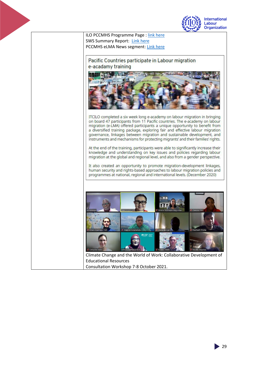



 $29$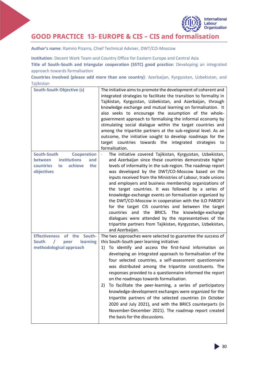

## **GOOD PRACTICE 13- EUROPE & CIS – CIS and formalisation**

**Author's name**: Ramiro Pizarro, Chief Technical Adviser, DWT/CO-Moscow

**Institution**: Decent Work Team and Country Office for Eastern Europe and Central Asia

**Title of South-South and triangular cooperation (SSTC) good practice:** Developing an integrated approach towards formalisation

**Countries involved (please add more than one country)**: Azerbaijan, Kyrgyzstan, Uzbekistan, and Tajikistan

| <b>South-South Objective (s)</b>                                                                                                            | The initiative aims to promote the development of coherent and<br>integrated strategies to facilitate the transition to formality in<br>Tajikistan, Kyrgyzstan, Uzbekistan, and Azerbaijan, through<br>knowledge exchange and mutual learning on formalisation. It<br>also seeks to encourage the assumption of the whole-<br>government approach to formalising the informal economy by<br>stimulating social dialogue within the target countries and<br>among the tripartite partners at the sub-regional level. As an<br>outcome, the initiative sought to develop roadmaps for the<br>target countries towards the integrated<br>strategies to<br>formalisation.                                                                                                                                              |
|---------------------------------------------------------------------------------------------------------------------------------------------|--------------------------------------------------------------------------------------------------------------------------------------------------------------------------------------------------------------------------------------------------------------------------------------------------------------------------------------------------------------------------------------------------------------------------------------------------------------------------------------------------------------------------------------------------------------------------------------------------------------------------------------------------------------------------------------------------------------------------------------------------------------------------------------------------------------------|
| <b>Cooperation</b><br><b>South-South</b><br><b>institutions</b><br><b>between</b><br>and<br>achieve<br>countries<br>the<br>to<br>objectives | The initiative covered Tajikistan, Kyrgyzstan, Uzbekistan,<br>and Azerbaijan since these countries demonstrate higher<br>levels of informality in the sub-region. The roadmap report<br>was developed by the DWT/CO-Moscow based on the<br>inputs received from the Ministries of Labour, trade unions<br>and employers and business membership organizations of<br>the target countries. It was followed by a series of<br>knowledge-exchange events on formalisation organized by<br>the DWT/CO-Moscow in cooperation with the ILO PARDEV<br>for the target CIS countries and between the target<br>the<br>BRICS. The<br>and<br>knowledge-exchange<br>countries<br>dialogues were attended by the representatives of the<br>tripartite partners from Tajikistan, Kyrgyzstan, Uzbekistan,<br>and Azerbaijan.      |
| of the South-<br><b>Effectiveness</b><br><b>South</b><br>learning<br>peer<br>methodological approach                                        | The two approaches were selected to guarantee the success of<br>this South-South peer learning initiative:<br>To identify and access the first-hand information on<br>1)<br>developing an integrated approach to formalisation of the<br>four selected countries, a self-assessment questionnaire<br>was distributed among the tripartite constituents. The<br>responses provided to a questionnaire informed the report<br>on the roadmaps towards formalisation.<br>To facilitate the peer-learning, a series of participatory<br>2)<br>knowledge-development exchanges were organized for the<br>tripartite partners of the selected countries (in October<br>2020 and July 2021), and with the BRICS counterparts (in<br>November-December 2021). The roadmap report created<br>the basis for the discussions. |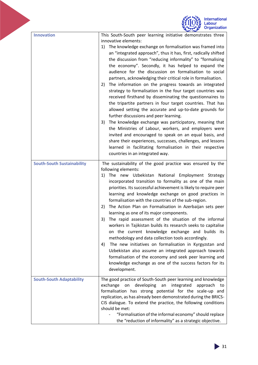|                                   | <b>International</b><br>Organization                                                                                                                                                                                                                                                                                                                                                                                                                                                                                                                                                                                                                                                                                                                                                                                                                                                                                                                                                                                                                                                                                                                                                    |
|-----------------------------------|-----------------------------------------------------------------------------------------------------------------------------------------------------------------------------------------------------------------------------------------------------------------------------------------------------------------------------------------------------------------------------------------------------------------------------------------------------------------------------------------------------------------------------------------------------------------------------------------------------------------------------------------------------------------------------------------------------------------------------------------------------------------------------------------------------------------------------------------------------------------------------------------------------------------------------------------------------------------------------------------------------------------------------------------------------------------------------------------------------------------------------------------------------------------------------------------|
| <b>Innovation</b>                 | This South-South peer learning initiative demonstrates three<br>innovative elements:<br>The knowledge exchange on formalisation was framed into<br>1)<br>an "integrated approach", thus it has, first, radically shifted<br>the discussion from "reducing informality" to "formalising<br>the economy". Secondly, it has helped to expand the<br>audience for the discussion on formalisation to social<br>partners, acknowledging their critical role in formalisation.<br>The information on the progress towards an integrated<br>2)<br>strategy to formalisation in the four target countries was<br>received firsthand by disseminating the questionnaires to<br>the tripartite partners in four target countries. That has<br>allowed setting the accurate and up-to-date grounds for<br>further discussions and peer learning.<br>The knowledge exchange was participatory, meaning that<br>3)<br>the Ministries of Labour, workers, and employers were<br>invited and encouraged to speak on an equal basis, and<br>share their experiences, successes, challenges, and lessons<br>learned in facilitating formalisation in their respective<br>countries in an integrated way. |
| <b>South-South Sustainability</b> | The sustainability of the good practice was ensured by the<br>following elements:<br>The new Uzbekistan National Employment Strategy<br>1)<br>incorporated transition to formality as one of the main<br>priorities. Its successful achievement is likely to require peer<br>learning and knowledge exchange on good practices in<br>formalisation with the countries of the sub-region.<br>The Action Plan on Formalisation in Azerbaijan sets peer<br>2)<br>learning as one of its major components.<br>The rapid assessment of the situation of the informal<br>3)<br>workers in Tajikistan builds its research seeks to capitalise<br>on the current knowledge exchange and builds its<br>methodology and data collection tools accordingly.<br>The new initiatives on formalisation in Kyrgyzstan and<br>4)<br>Uzbekistan also assume an integrated approach towards<br>formalisation of the economy and seek peer learning and<br>knowledge exchange as one of the success factors for its<br>development.                                                                                                                                                                        |
| <b>South-South Adaptability</b>   | The good practice of South-South peer learning and knowledge<br>exchange<br>developing<br>integrated<br>approach<br>on<br>an<br>to<br>formalisation has strong potential for the scale-up and<br>replication, as has already been demonstrated during the BRICS-<br>CIS dialogue. To extend the practice, the following conditions<br>should be met:<br>"Formalisation of the informal economy" should replace<br>the "reduction of informality" as a strategic objective.                                                                                                                                                                                                                                                                                                                                                                                                                                                                                                                                                                                                                                                                                                              |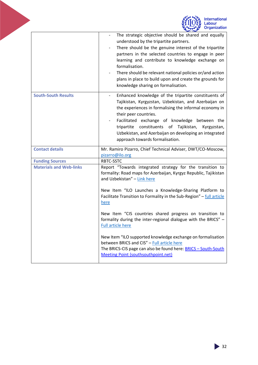<span id="page-32-0"></span>

|                                | <b>International</b><br>Organization                                                                                                                                                                                                                                                                                                                                                                                                                 |
|--------------------------------|------------------------------------------------------------------------------------------------------------------------------------------------------------------------------------------------------------------------------------------------------------------------------------------------------------------------------------------------------------------------------------------------------------------------------------------------------|
|                                | The strategic objective should be shared and equally<br>understood by the tripartite partners.<br>There should be the genuine interest of the tripartite<br>partners in the selected countries to engage in peer<br>learning and contribute to knowledge exchange on<br>formalisation.<br>There should be relevant national policies or/and action<br>plans in place to build upon and create the grounds for<br>knowledge sharing on formalisation. |
| <b>South-South Results</b>     | Enhanced knowledge of the tripartite constituents of<br>Tajikistan, Kyrgyzstan, Uzbekistan, and Azerbaijan on<br>the experiences in formalising the informal economy in<br>their peer countries.<br>Facilitated exchange of knowledge between the<br>tripartite constituents of Tajikistan, Kyrgyzstan,<br>Uzbekistan, and Azerbaijan on developing an integrated<br>approach towards formalisation.                                                 |
| <b>Contact details</b>         | Mr. Ramiro Pizarro, Chief Technical Adviser, DWT/CO-Moscow,<br>pizarro@ilo.org                                                                                                                                                                                                                                                                                                                                                                       |
| <b>Funding Sources</b>         | RBTC-SSTC                                                                                                                                                                                                                                                                                                                                                                                                                                            |
| <b>Materials and Web-links</b> | Report "Towards integrated strategy for the transition to<br>formality: Road maps for Azerbaijan, Kyrgyz Republic, Tajikistan<br>and Uzbekistan" - Link here<br>New Item "ILO Launches a Knowledge-Sharing Platform to                                                                                                                                                                                                                               |
|                                | Facilitate Transition to Formality in the Sub-Region" - full article<br><u>here</u>                                                                                                                                                                                                                                                                                                                                                                  |
|                                | New Item "CIS countries shared progress on transition to<br>formality during the inter-regional dialogue with the BRICS" -<br><b>Full article here</b>                                                                                                                                                                                                                                                                                               |
|                                | New Item "ILO supported knowledge exchange on formalisation<br>between BRICS and CIS" - Full article here<br>The BRICS-CIS page can also be found here: <b>BRICS-South-South</b><br><b>Meeting Point (southsouthpoint.net)</b>                                                                                                                                                                                                                       |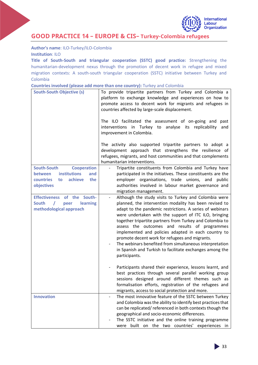

## **GOOD PRACTICE 14 – EUROPE & CIS– Turkey-Colombia refugees**

**Author's name**: ILO-Turkey/ILO-Colombia **Institution**: ILO

**Title of South-South and triangular cooperation (SSTC) good practice:** Strengthening the humanitarian-development nexus through the promotion of decent work in refugee and mixed migration contexts: A south-south triangular cooperation (SSTC) initiative between Turkey and Colombia

| Countries involved (please add more than one country): Turkey and Colombia |  |  |  |  |  |
|----------------------------------------------------------------------------|--|--|--|--|--|
|----------------------------------------------------------------------------|--|--|--|--|--|

| <b>South-South Objective (s)</b>                                                                                                     | To provide tripartite partners from Turkey and Colombia a<br>platform to exchange knowledge and experiences on how to<br>promote access to decent work for migrants and refugees in<br>countries affected by large-scale displacement.                                                                                                                                                                                                                                                                                                                                                                                                                                                                                                                                                                                                                                                                                  |  |  |
|--------------------------------------------------------------------------------------------------------------------------------------|-------------------------------------------------------------------------------------------------------------------------------------------------------------------------------------------------------------------------------------------------------------------------------------------------------------------------------------------------------------------------------------------------------------------------------------------------------------------------------------------------------------------------------------------------------------------------------------------------------------------------------------------------------------------------------------------------------------------------------------------------------------------------------------------------------------------------------------------------------------------------------------------------------------------------|--|--|
|                                                                                                                                      | The ILO facilitated the assessment of on-going and<br>past<br>interventions in Turkey to analyse its replicability<br>and<br>improvement in Colombia.                                                                                                                                                                                                                                                                                                                                                                                                                                                                                                                                                                                                                                                                                                                                                                   |  |  |
|                                                                                                                                      | The activity also supported tripartite partners to adopt a<br>development approach that strengthens the resilience of<br>refugees, migrants, and host communities and that complements<br>humanitarian interventions.                                                                                                                                                                                                                                                                                                                                                                                                                                                                                                                                                                                                                                                                                                   |  |  |
| South-South<br><b>Cooperation</b><br><b>institutions</b><br><b>between</b><br>and<br>countries<br>achieve<br>the<br>to<br>objectives | Tripartite constituents from Colombia and Turkey have<br>participated in the initiatives. These constituents are the<br>employer organisations, trade unions, and<br>public<br>authorities involved in labour market governance and<br>migration management.                                                                                                                                                                                                                                                                                                                                                                                                                                                                                                                                                                                                                                                            |  |  |
| South-<br><b>Effectiveness</b><br>of the<br><b>South</b><br><b>learning</b><br>$\prime$<br>peer<br>methodological approach           | Although the study visits to Turkey and Colombia were<br>$\overline{\phantom{0}}$<br>planned, the intervention modality has been revised to<br>adapt to the pandemic restrictions. A series of webinars<br>were undertaken with the support of ITC ILO, bringing<br>together tripartite partners from Turkey and Colombia to<br>assess the outcomes and results of programmes<br>implemented and policies adapted in each country to<br>promote decent work for refugees and migrants.<br>The webinars benefited from simultaneous interpretation<br>in Spanish and Turkish to facilitate exchanges among the<br>participants.<br>Participants shared their experience, lessons learnt, and<br>best practices through several parallel working group<br>sessions designed around different themes such as<br>formalisation efforts, registration of the refugees and<br>migrants, access to social protection and more. |  |  |
| <b>Innovation</b>                                                                                                                    | The most innovative feature of the SSTC between Turkey<br>$\overline{\phantom{0}}$<br>and Colombia was the ability to identify best practices that<br>can be replicated/referenced in both contexts though the<br>geographical and socio-economic differences.<br>The SSTC initiative and the online training programme<br>built on the two countries' experiences in<br>were                                                                                                                                                                                                                                                                                                                                                                                                                                                                                                                                           |  |  |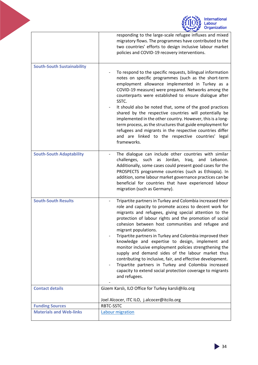<span id="page-34-0"></span>

|                                   | <b>International</b><br>abour.<br><b>Organization</b>                                                                                                                                                                                                                                                                                                                                                                                                                                                                                                                                                                                                                                                                                                        |  |
|-----------------------------------|--------------------------------------------------------------------------------------------------------------------------------------------------------------------------------------------------------------------------------------------------------------------------------------------------------------------------------------------------------------------------------------------------------------------------------------------------------------------------------------------------------------------------------------------------------------------------------------------------------------------------------------------------------------------------------------------------------------------------------------------------------------|--|
|                                   | responding to the large-scale refugee influxes and mixed<br>migratory flows. The programmes have contributed to the<br>two countries' efforts to design inclusive labour market<br>policies and COVID-19 recovery interventions.                                                                                                                                                                                                                                                                                                                                                                                                                                                                                                                             |  |
| <b>South-South Sustainability</b> | To respond to the specific requests, bilingual information<br>notes on specific programmes (such as the short-term<br>employment allowance implemented in Turkey as a<br>COVID-19 measure) were prepared. Networks among the<br>counterparts were established to ensure dialogue after<br>SSTC.<br>It should also be noted that, some of the good practices<br>shared by the respective countries will potentially be<br>implemented in the other country. However, this is a long-<br>term process, as the structures that guide employment for<br>refugees and migrants in the respective countries differ<br>and are linked to the respective countries' legal<br>frameworks.                                                                             |  |
| <b>South-South Adaptability</b>   | The dialogue can include other countries with similar<br>Jordan,<br>challenges,<br>such<br>as<br>Iraq, and<br>Lebanon.<br>Additionally, some cases could present good cases for the<br>PROSPECTS programme countries (such as Ethiopia). In<br>addition, some labour market governance practices can be<br>beneficial for countries that have experienced labour<br>migration (such as Germany).                                                                                                                                                                                                                                                                                                                                                             |  |
| <b>South-South Results</b>        | Tripartite partners in Turkey and Colombia increased their<br>role and capacity to promote access to decent work for<br>migrants and refugees, giving special attention to the<br>protection of labour rights and the promotion of social<br>cohesion between host communities and refugee and<br>migrant populations.<br>Tripartite partners in Turkey and Colombia improved their<br>knowledge and expertise to design, implement and<br>monitor inclusive employment policies strengthening the<br>supply and demand sides of the labour market thus<br>contributing to inclusive, fair, and effective development.<br>Tripartite partners in Turkey and Colombia increased<br>capacity to extend social protection coverage to migrants<br>and refugees. |  |
| <b>Contact details</b>            | Gizem Karslı, ILO Office for Turkey karsli@ilo.org                                                                                                                                                                                                                                                                                                                                                                                                                                                                                                                                                                                                                                                                                                           |  |
| <b>Funding Sources</b>            | Joel Alcocer, ITC ILO, j.alcocer@itcilo.org<br>RBTC-SSTC                                                                                                                                                                                                                                                                                                                                                                                                                                                                                                                                                                                                                                                                                                     |  |
| <b>Materials and Web-links</b>    | Labour migration                                                                                                                                                                                                                                                                                                                                                                                                                                                                                                                                                                                                                                                                                                                                             |  |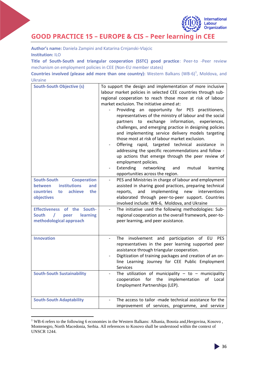

# **GOOD PRACTICE 15 – EUROPE & CIS – Peer learning in CEE**

**Author's name:** Daniela Zampini and Katarina Crnjanski-Vlajcic **Institution:** ILO

**Title of South-South and triangular cooperation (SSTC) good practice**: Peer-to -Peer review mechanism on employment policies in CEE (Non-EU member states)

**Countries involved (please add more than one country):** Western Balkans (WB-6)<sup>1</sup>, Moldova, and Ukraine

| <b>South-South Objective (s)</b><br><b>South-South</b><br><b>Cooperation</b><br><b>institutions</b><br><b>between</b><br>and<br><b>countries</b><br>achieve<br>the<br>to<br>objectives | To support the design and implementation of more inclusive<br>labour market policies in selected CEE countries through sub-<br>regional cooperation to reach those more at risk of labour<br>market exclusion. The initiative aimed at:<br>Providing an opportunity for PES<br>practitioners,<br>representatives of the ministry of labour and the social<br>partners to exchange information,<br>experiences,<br>challenges, and emerging practice in designing policies<br>and implementing service delivery models targeting<br>those most at risk of labour market exclusion.<br>Offering rapid, targeted technical<br>assistance<br>in.<br>addressing the specific recommendations and follow -<br>up actions that emerge through the peer review of<br>employment policies.<br>Extending<br>networking<br>and<br>mutual<br>learning<br>opportunities across the region.<br>PES and Ministries in charge of labour and employment<br>assisted in sharing good practices, preparing technical<br>implementing<br>reports,<br>and<br>new<br>interventions<br>elaborated through peer-to-peer support. Countries<br>involved include: WB-6, Moldova, and Ukraine |
|----------------------------------------------------------------------------------------------------------------------------------------------------------------------------------------|--------------------------------------------------------------------------------------------------------------------------------------------------------------------------------------------------------------------------------------------------------------------------------------------------------------------------------------------------------------------------------------------------------------------------------------------------------------------------------------------------------------------------------------------------------------------------------------------------------------------------------------------------------------------------------------------------------------------------------------------------------------------------------------------------------------------------------------------------------------------------------------------------------------------------------------------------------------------------------------------------------------------------------------------------------------------------------------------------------------------------------------------------------------------|
| <b>Effectiveness</b><br>of the<br>South-<br><b>South</b><br>$\prime$<br>learning<br>peer<br>methodological approach                                                                    | The initiative used the following methodologies: Sub-<br>regional cooperation as the overall framework, peer-to-<br>peer learning, and peer assistance.                                                                                                                                                                                                                                                                                                                                                                                                                                                                                                                                                                                                                                                                                                                                                                                                                                                                                                                                                                                                            |
| <b>Innovation</b>                                                                                                                                                                      | participation of EU<br>involvement and<br>The<br><b>PES</b><br>representatives in the peer learning supported peer<br>assistance through triangular cooperation.<br>Digitization of training packages and creation of an on-<br>line Learning Journey for CEE Public Employment<br>Services                                                                                                                                                                                                                                                                                                                                                                                                                                                                                                                                                                                                                                                                                                                                                                                                                                                                        |
| <b>South-South Sustainability</b>                                                                                                                                                      | The utilization of municipality $-$ to $-$ municipality<br>cooperation<br>for<br>the<br>implementation<br>of<br>Local<br>Employment Partnerships (LEP).                                                                                                                                                                                                                                                                                                                                                                                                                                                                                                                                                                                                                                                                                                                                                                                                                                                                                                                                                                                                            |
| <b>South-South Adaptability</b>                                                                                                                                                        | The access to tailor -made technical assistance for the<br>improvement of services, programme, and service                                                                                                                                                                                                                                                                                                                                                                                                                                                                                                                                                                                                                                                                                                                                                                                                                                                                                                                                                                                                                                                         |

<sup>&</sup>lt;sup>1</sup> WB-6 refers to the following 6 economies in the Western Balkans: Albania, Bosnia and,Hergovina, Kosovo, Montenegro, North Macedonia, Serbia. All references to Kosovo shall be understood within the context of UNSCR 1244.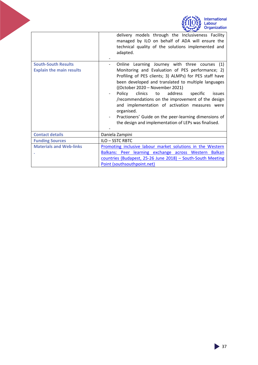<span id="page-36-0"></span>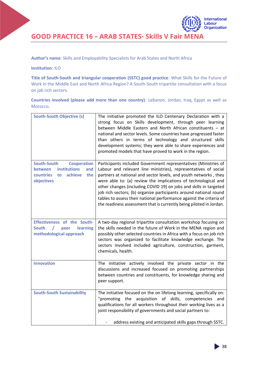**GOOD PRACTICE 16 – ARAB STATES- Skills V Fair MENA**

**Author's name**: Skills and Employability Specialists for Arab States and North Africa

#### **Institution**: ILO

**Title of South-South and triangular cooperation (SSTC) good practice**: What Skills for the Future of Work in the Middle East and North Africa Region? A South-South tripartite consultation with a focus on job rich sectors.

**Countries involved (please add more than one country)**: Lebanon, Jordan, Iraq, Egypt as well as Morocco.

| <b>South-South Objective (s)</b>                                                                                                     | The initiative promoted the ILO Centenary Declaration with a<br>strong focus on Skills development, through peer learning<br>between Middle Eastern and North African constituents - at<br>national and sector levels. Some countries have progressed faster<br>than others in terms of technology and structured skills<br>development systems; they were able to share experiences and<br>promoted models that have proved to work in the region.                                                                                                              |
|--------------------------------------------------------------------------------------------------------------------------------------|------------------------------------------------------------------------------------------------------------------------------------------------------------------------------------------------------------------------------------------------------------------------------------------------------------------------------------------------------------------------------------------------------------------------------------------------------------------------------------------------------------------------------------------------------------------|
| <b>South-South</b><br><b>Cooperation</b><br>institutions<br>and<br><b>between</b><br>achieve<br>countries<br>the<br>to<br>objectives | Participants included Government representatives (Ministries of<br>Labour and relevant line ministries), representatives of social<br>partners at national and sector levels, and youth networks, they<br>were able to: (a) review the implications of technological and<br>other changes (including COVID 19) on jobs and skills in targeted<br>job rich sectors; (b) organize participants around national round<br>tables to assess their national performance against the criteria of<br>the readiness assessment that is currently being piloted in Jordan. |
| Effectiveness of the South-<br><b>South</b><br>learning<br>$\prime$<br>peer<br>methodological approach                               | A two-day regional tripartite consultation workshop focusing on<br>the skills needed in the future of Work in the MENA region and<br>possibly other selected countries in Africa with a focus on job rich<br>sectors was organized to facilitate knowledge exchange. The<br>sectors involved included agriculture, construction, garment,<br>chemicals, health.                                                                                                                                                                                                  |
| <b>Innovation</b>                                                                                                                    | The initiative actively involved the private sector in the<br>discussions and increased focused on promoting partnerships<br>between countries and constituents, for knowledge sharing and<br>peer support.                                                                                                                                                                                                                                                                                                                                                      |
| <b>South-South Sustainability</b>                                                                                                    | The initiative focused on the on lifelong learning, specifically on:<br>"promoting the acquisition of skills, competencies and<br>qualifications for all workers throughout their working lives as a<br>joint responsibility of governments and social partners to:<br>address existing and anticipated skills gaps through SSTC.                                                                                                                                                                                                                                |

International Labour **Organization**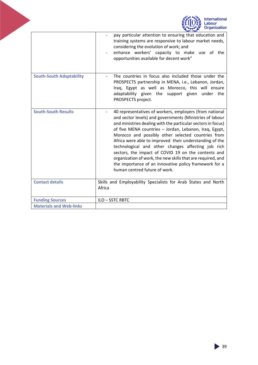

<span id="page-38-0"></span>

|                                 | pay particular attention to ensuring that education and<br>training systems are responsive to labour market needs,<br>considering the evolution of work; and<br>enhance workers' capacity to make use of the<br>opportunities available for decent work"                                                                                                                                                                                                                                                                                                                                                                              |
|---------------------------------|---------------------------------------------------------------------------------------------------------------------------------------------------------------------------------------------------------------------------------------------------------------------------------------------------------------------------------------------------------------------------------------------------------------------------------------------------------------------------------------------------------------------------------------------------------------------------------------------------------------------------------------|
| <b>South-South Adaptability</b> | The countries in focus also included those under the<br>PROSPECTS partnership in MENA, i.e., Lebanon, Jordan,<br>Iraq, Egypt as well as Morocco, this will ensure<br>adaptability given the support given under the<br>PROSPECTS project.                                                                                                                                                                                                                                                                                                                                                                                             |
| <b>South-South Results</b>      | 40 representatives of workers, employers (from national<br>and sector levels) and governments (Ministries of labour<br>and ministries dealing with the particular sectors in focus)<br>of five MENA countries - Jordan, Lebanon, Iraq, Egypt,<br>Morocco and possibly other selected countries from<br>Africa were able to improved their understanding of the<br>technological and other changes affecting job rich<br>sectors, the impact of COVID 19 on the contents and<br>organization of work, the new skills that are required, and<br>the importance of an innovative policy framework for a<br>human centred future of work. |
| <b>Contact details</b>          | Skills and Employability Specialists for Arab States and North<br>Africa                                                                                                                                                                                                                                                                                                                                                                                                                                                                                                                                                              |
| <b>Funding Sources</b>          | ILO-SSTC RBTC                                                                                                                                                                                                                                                                                                                                                                                                                                                                                                                                                                                                                         |
| <b>Materials and Web-links</b>  |                                                                                                                                                                                                                                                                                                                                                                                                                                                                                                                                                                                                                                       |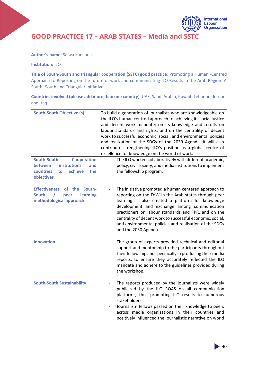**GOOD PRACTICE 17 – ARAB STATES – Media and SSTC** 

#### **Author's name**: Salwa Kanaana

#### **Institution:** ILO

**Title of South-South and triangular cooperation (SSTC) good practice**: Promoting a Human -Centred Approach to Reporting on the future of work and communicating ILO Results in the Arab Region: A South -South and Triangular Initiative

**Countries involved (please add more than one country)**: UAE, Saudi Arabia, Kuwait, Lebanon, Jordan, and Iraq

| <b>South-South Objective (s)</b><br><b>South-South</b><br><b>Cooperation</b>                            | To build a generation of journalists who are knowledgeable on<br>the ILO's human centred approach to achieving its social justice<br>and decent work mandate; on its knowledge and results on<br>labour standards and rights, and on the centrality of decent<br>work to successful economic, social, and environmental policies<br>and realization of the SDGs of the 2030 Agenda. It will also<br>contribute strengthening ILO's position as a global centre of<br>excellence for knowledge on the world of work.<br>The ILO worked collaboratively with different academic, |
|---------------------------------------------------------------------------------------------------------|--------------------------------------------------------------------------------------------------------------------------------------------------------------------------------------------------------------------------------------------------------------------------------------------------------------------------------------------------------------------------------------------------------------------------------------------------------------------------------------------------------------------------------------------------------------------------------|
| <b>institutions</b><br><b>between</b><br>and<br>achieve<br>countries<br>to<br>the<br>objectives         | policy, civil society, and media institutions to implement<br>the fellowship program.                                                                                                                                                                                                                                                                                                                                                                                                                                                                                          |
| South-<br><b>Effectiveness</b><br>of the<br><b>South</b><br>learning<br>peer<br>methodological approach | The initiative promoted a human centered approach to<br>reporting on the FoW in the Arab states through peer<br>learning. It also created a platform for knowledge<br>development and exchange among communication<br>practioners on labour standards and FPR, and on the<br>centrality of decent work to successful economic, social,<br>and environmental policies and realisation of the SDGs<br>and the 2030 Agenda.                                                                                                                                                       |
| <b>Innovation</b>                                                                                       | The group of experts provided technical and editorial<br>support and mentorship to the participants throughout<br>their fellowship and specifically in producing their media<br>reports, to ensure they accurately reflected the ILO<br>mandate and adhere to the guidelines provided during<br>the workshop.                                                                                                                                                                                                                                                                  |
| <b>South-South Sustainability</b>                                                                       | The reports produced by the journalists were widely<br>publicized by the ILO ROAS on all communication<br>platforms, thus promoting ILO results to numerous<br>stakeholders.<br>Journalism fellows passed on their knowledge to peers<br>across media organizations in their countries and<br>positively influenced the journalistic narrative on world                                                                                                                                                                                                                        |

International Labour **Organization**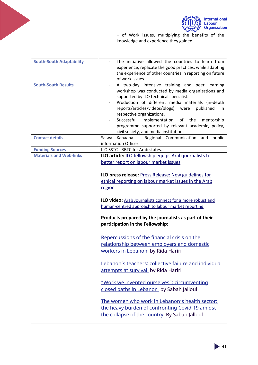

|                                 | - of Work issues, multiplying the benefits of the<br>knowledge and experience they gained.                                                                                                                                                                                                                                                                                                                                                        |
|---------------------------------|---------------------------------------------------------------------------------------------------------------------------------------------------------------------------------------------------------------------------------------------------------------------------------------------------------------------------------------------------------------------------------------------------------------------------------------------------|
| <b>South-South Adaptability</b> | The initiative allowed the countries to learn from<br>experience, replicate the good practices, while adapting<br>the experience of other countries in reporting on future<br>of work issues.                                                                                                                                                                                                                                                     |
| <b>South-South Results</b>      | A two-day intensive training and peer learning<br>workshop was conducted by media organizations and<br>supported by ILO technical specialist.<br>Production of different media materials (in-depth<br>reports/articles/videos/blogs) were<br>published<br>-in<br>respective organizations.<br>Successful<br>implementation<br>of the<br>mentorship<br>programme supported by relevant academic, policy,<br>civil society, and media institutions. |
| <b>Contact details</b>          | Kanaana – Regional Communication and<br>Salwa<br>public<br>information Officer.                                                                                                                                                                                                                                                                                                                                                                   |
| <b>Funding Sources</b>          | ILO SSTC - RBTC for Arab states.                                                                                                                                                                                                                                                                                                                                                                                                                  |
| <b>Materials and Web-links</b>  | ILO article: ILO fellowship equips Arab journalists to<br>better report on labour market issues                                                                                                                                                                                                                                                                                                                                                   |
|                                 | ILO press release: Press Release: New guidelines for<br>ethical reporting on labour market issues in the Arab<br>region                                                                                                                                                                                                                                                                                                                           |
|                                 | ILO video: Arab Journalists connect for a more robust and<br>human-centred approach to labour market reporting                                                                                                                                                                                                                                                                                                                                    |
|                                 | Products prepared by the journalists as part of their<br>participation in the Fellowship:                                                                                                                                                                                                                                                                                                                                                         |
|                                 | Repercussions of the financial crisis on the<br>relationship between employers and domestic<br>workers in Lebanon by Rida Hariri                                                                                                                                                                                                                                                                                                                  |
|                                 | Lebanon's teachers: collective failure and individual<br>attempts at survival by Rida Hariri                                                                                                                                                                                                                                                                                                                                                      |
|                                 | "Work we invented ourselves": circumventing<br>closed paths in Lebanon by Sabah Jalloul                                                                                                                                                                                                                                                                                                                                                           |
|                                 | The women who work in Lebanon's health sector:<br>the heavy burden of confronting Covid-19 amidst<br>the collapse of the country By Sabah Jalloul                                                                                                                                                                                                                                                                                                 |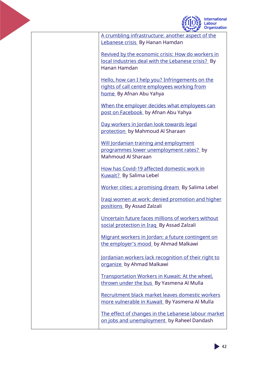

**International** Labour **Organization** 

[A crumbling infrastructure: another aspect of the](https://raseef22.net/article/1085629-%D8%AA%D9%87%D8%A7%D9%84%D9%83-%D8%A7%D9%84%D8%A8%D9%86%D9%89-%D8%A7%D9%84%D8%AA%D8%AD%D8%AA%D9%8A%D8%A9-%D9%85%D8%B4%D9%87%D8%AF-%D8%A2%D8%AE%D8%B1-%D9%85%D9%86-%D9%85%D8%B4%D8%A7%D9%87%D8%AF-%D8%A7%D9%84%D8%A3%D8%B2%D9%85%D8%A9-%D8%A7%D9%84%D9%84%D8%A8%D9%86%D8%A7%D9%86%D9%8A%D8%A9)  [Lebanese crisis](https://raseef22.net/article/1085629-%D8%AA%D9%87%D8%A7%D9%84%D9%83-%D8%A7%D9%84%D8%A8%D9%86%D9%89-%D8%A7%D9%84%D8%AA%D8%AD%D8%AA%D9%8A%D8%A9-%D9%85%D8%B4%D9%87%D8%AF-%D8%A2%D8%AE%D8%B1-%D9%85%D9%86-%D9%85%D8%B4%D8%A7%D9%87%D8%AF-%D8%A7%D9%84%D8%A3%D8%B2%D9%85%D8%A9-%D8%A7%D9%84%D9%84%D8%A8%D9%86%D8%A7%D9%86%D9%8A%D8%A9) By Hanan Hamdan

[Revived by the economic crisis:](https://raseef22.net/article/1084367) How do workers in [local industries deal with the Lebanese crisis?](https://raseef22.net/article/1084367) By Hanan Hamdan

[Hello, how can I help you? Infringements on the](https://ammannet.net/%D8%A3%D8%AE%D8%A8%D8%A7%D8%B1/%D8%A3%D9%84%D9%88-%D9%83%D9%8A%D9%81-%D8%A8%D9%82%D8%AF%D8%B1-%D8%A3%D8%B3%D8%A7%D8%B9%D8%AF%D9%83%D8%9F)  [rights of call centre employees working from](https://ammannet.net/%D8%A3%D8%AE%D8%A8%D8%A7%D8%B1/%D8%A3%D9%84%D9%88-%D9%83%D9%8A%D9%81-%D8%A8%D9%82%D8%AF%D8%B1-%D8%A3%D8%B3%D8%A7%D8%B9%D8%AF%D9%83%D8%9F)  [home](https://ammannet.net/%D8%A3%D8%AE%D8%A8%D8%A7%D8%B1/%D8%A3%D9%84%D9%88-%D9%83%D9%8A%D9%81-%D8%A8%D9%82%D8%AF%D8%B1-%D8%A3%D8%B3%D8%A7%D8%B9%D8%AF%D9%83%D8%9F) By Afnan Abu Yahya

[When the employer decides what employees can](https://ammannet.net/%D8%A3%D8%AE%D8%A8%D8%A7%D8%B1/%D8%B9%D9%86%D8%AF%D9%85%D8%A7-%D9%8A%D9%82%D8%B1%D8%B1-%D8%B5%D8%A7%D8%AD%D8%A8-%D8%A7%D9%84%D8%B9%D9%85%D9%84-%D9%85%D8%A7-%D9%8A%D9%85%D9%83%D9%86%D9%83-%D8%A3%D9%86-%D8%AA%D9%86%D8%B4%D8%B1%D9%87-%D8%B9%D9%84%D9%89-%D8%A7%D9%84%D9%81%D9%8A%D8%B3%D8%A8%D9%88%D9%83)  [post on Facebook](https://ammannet.net/%D8%A3%D8%AE%D8%A8%D8%A7%D8%B1/%D8%B9%D9%86%D8%AF%D9%85%D8%A7-%D9%8A%D9%82%D8%B1%D8%B1-%D8%B5%D8%A7%D8%AD%D8%A8-%D8%A7%D9%84%D8%B9%D9%85%D9%84-%D9%85%D8%A7-%D9%8A%D9%85%D9%83%D9%86%D9%83-%D8%A3%D9%86-%D8%AA%D9%86%D8%B4%D8%B1%D9%87-%D8%B9%D9%84%D9%89-%D8%A7%D9%84%D9%81%D9%8A%D8%B3%D8%A8%D9%88%D9%83) by Afnan Abu Yahya

[Day workers in Jordan look towards legal](https://raseef22.net/article/1085303-%D8%A7%D9%84%D8%B1%D8%B2%D9%82-%D8%AD%D8%B3%D8%A8-%D8%A7%D9%84%D8%AD%D8%B8-%D8%A7%D9%84%D9%85%D9%8A%D8%A7%D9%88%D9%85%D9%88%D9%86-%D9%81%D9%8A-%D8%A7%D9%84%D8%A3%D8%B1%D8%AF%D9%86-%D9%8A%D8%AA%D8%B7%D9%84%D8%B9%D9%88%D9%86-%D8%A5%D9%84%D9%89-%D8%AD%D9%85%D8%A7%D9%8A%D8%A9-%D8%A7%D9%84%D9%82%D8%A7%D9%86%D9%88%D9%86)  [protection](https://raseef22.net/article/1085303-%D8%A7%D9%84%D8%B1%D8%B2%D9%82-%D8%AD%D8%B3%D8%A8-%D8%A7%D9%84%D8%AD%D8%B8-%D8%A7%D9%84%D9%85%D9%8A%D8%A7%D9%88%D9%85%D9%88%D9%86-%D9%81%D9%8A-%D8%A7%D9%84%D8%A3%D8%B1%D8%AF%D9%86-%D9%8A%D8%AA%D8%B7%D9%84%D8%B9%D9%88%D9%86-%D8%A5%D9%84%D9%89-%D8%AD%D9%85%D8%A7%D9%8A%D8%A9-%D8%A7%D9%84%D9%82%D8%A7%D9%86%D9%88%D9%86) by Mahmoud Al Sharaan

Will Jordanian training and employment [programmes lower unemployment rates?](https://raseef22.net/article/1084952-%D8%AD%D8%B5%D9%8A%D9%84%D8%A9-%D9%85%D8%B4%D8%A7%D8%B1%D9%8A%D8%B9-%D8%A7%D9%84%D8%A3%D8%B1%D8%AF%D9%86-%D9%84%D8%AE%D9%81%D8%B6-%D8%A7%D9%84%D8%A8%D8%B7%D8%A7%D9%84%D8%A9-%D8%B4%D8%A8%D8%A7%D8%A8-%D9%85%D8%AF%D9%8A%D9%88%D9%86%D9%88%D9%86-%D9%88%D8%A8%D8%B1%D8%A7%D9%85%D8%AC-%D8%AA%D8%AF%D8%B1%D9%8A%D8%A8-%D9%84%D8%A7-%D8%AA%D9%83%D8%AA%D9%85%D9%84) by Mahmoud Al Sharaan

[How has Covid-19 affected domestic work in](https://manshoor.com/society/covid-and-domestic-workers-in-kuwait/)  [Kuwait?](https://manshoor.com/society/covid-and-domestic-workers-in-kuwait/) By Salima Lebel

[Worker cities: a promising dream](https://www.alqabas.com/article/5863434-%D8%A7%D9%84%D9%85%D8%AF%D9%86-%D8%A7%D9%84%D8%B9%D9%85%D8%A7%D9%84%D9%8A%D8%A9-%D8%AD%D9%84%D9%85-%D9%88%D8%A7%D8%B9%D8%AF) By Salima Lebel

[Iraqi women at work: denied promotion and higher](https://www.irfaasawtak.com/iraq/2021/11/02/%D8%A7%D9%84%D8%B9%D8%B1%D8%A7%D9%82%D9%8A%D8%A7%D8%AA-%D9%81%D9%8A-%D8%A7%D9%84%D8%B9%D9%85%D9%84-%D8%AD%D8%B1%D9%85%D8%A7%D9%86-%D8%A7%D9%84%D8%AA%D8%B1%D9%82%D9%8A%D8%A7%D8%AA-%D9%88%D8%A7%D9%84%D9%85%D9%86%D8%A7%D8%B5%D8%A8-%D8%A7%D9%84%D8%B9%D9%84%D9%8A%D8%A7)  [positions](https://www.irfaasawtak.com/iraq/2021/11/02/%D8%A7%D9%84%D8%B9%D8%B1%D8%A7%D9%82%D9%8A%D8%A7%D8%AA-%D9%81%D9%8A-%D8%A7%D9%84%D8%B9%D9%85%D9%84-%D8%AD%D8%B1%D9%85%D8%A7%D9%86-%D8%A7%D9%84%D8%AA%D8%B1%D9%82%D9%8A%D8%A7%D8%AA-%D9%88%D8%A7%D9%84%D9%85%D9%86%D8%A7%D8%B5%D8%A8-%D8%A7%D9%84%D8%B9%D9%84%D9%8A%D8%A7) By Assad Zalzali

[Uncertain future faces millions of workers without](https://www.irfaasawtak.com/iraq/2021/09/15/%D8%B6%D9%85%D8%A7%D9%86-%D8%A7%D8%AC%D8%AA%D9%85%D8%A7%D8%B9%D9%8A-%D9%85%D8%B3%D8%AA%D9%82%D8%A8%D9%84-%D9%85%D8%AC%D9%87%D9%88%D9%84-%D9%8A%D9%88%D8%A7%D8%AC%D9%87-%D9%85%D9%84%D8%A7%D9%8A%D9%8A%D9%86-%D8%A7%D9%84%D8%B9%D9%85%D8%A7%D9%84-%D8%A7%D9%84%D8%B9%D8%B1%D8%A7%D9%82%D9%8A%D9%8A%D9%86)  [social protection in Iraq](https://www.irfaasawtak.com/iraq/2021/09/15/%D8%B6%D9%85%D8%A7%D9%86-%D8%A7%D8%AC%D8%AA%D9%85%D8%A7%D8%B9%D9%8A-%D9%85%D8%B3%D8%AA%D9%82%D8%A8%D9%84-%D9%85%D8%AC%D9%87%D9%88%D9%84-%D9%8A%D9%88%D8%A7%D8%AC%D9%87-%D9%85%D9%84%D8%A7%D9%8A%D9%8A%D9%86-%D8%A7%D9%84%D8%B9%D9%85%D8%A7%D9%84-%D8%A7%D9%84%D8%B9%D8%B1%D8%A7%D9%82%D9%8A%D9%8A%D9%86) By Assad Zalzali

[Migrant workers in Jordan: a future contingent on](http://labor-watch.net/ar/read-news/152593)  [the employer's mood](http://labor-watch.net/ar/read-news/152593) by Ahmad Malkawi

[Jordanian workers lack recognition of their right to](https://eur01.safelinks.protection.outlook.com/?url=http%3A%2F%2Flabor-watch.net%2Far%2Fread-news%2F152885&data=04%7C01%7Ckhattar%40ilo.org%7C850f83aff401449042ea08d9db4934fb%7Cd49b07ca23024e7cb2cbe12127852850%7C0%7C0%7C637781930009194157%7CUnknown%7CTWFpbGZsb3d8eyJWIjoiMC4wLjAwMDAiLCJQIjoiV2luMzIiLCJBTiI6Ik1haWwiLCJXVCI6Mn0%3D%7C3000&sdata=lNULJpZjIwGiROJiJqXRBZNw5uabSVYwpHJfSVD0i7E%3D&reserved=0)  [organize](https://eur01.safelinks.protection.outlook.com/?url=http%3A%2F%2Flabor-watch.net%2Far%2Fread-news%2F152885&data=04%7C01%7Ckhattar%40ilo.org%7C850f83aff401449042ea08d9db4934fb%7Cd49b07ca23024e7cb2cbe12127852850%7C0%7C0%7C637781930009194157%7CUnknown%7CTWFpbGZsb3d8eyJWIjoiMC4wLjAwMDAiLCJQIjoiV2luMzIiLCJBTiI6Ik1haWwiLCJXVCI6Mn0%3D%7C3000&sdata=lNULJpZjIwGiROJiJqXRBZNw5uabSVYwpHJfSVD0i7E%3D&reserved=0) by Ahmad Malkawi

[Transportation Workers in Kuwait: At the wheel,](https://www.migrant-rights.org/2021/09/transportation-workers-in-kuwait-at-the-wheel-thrown-under-the-bus/)  [thrown under the bus](https://www.migrant-rights.org/2021/09/transportation-workers-in-kuwait-at-the-wheel-thrown-under-the-bus/) By Yasmena Al Mulla

[Recruitment black market leaves domestic workers](https://eur01.safelinks.protection.outlook.com/?url=https%3A%2F%2Fwww.migrant-rights.org%2F2021%2F12%2Fa-thriving-black-market-leaves-domestic-workers-more-vulnerable-in-kuwait%2F&data=04%7C01%7Ckhattar%40ilo.org%7C850f83aff401449042ea08d9db4934fb%7Cd49b07ca23024e7cb2cbe12127852850%7C0%7C0%7C637781930009194157%7CUnknown%7CTWFpbGZsb3d8eyJWIjoiMC4wLjAwMDAiLCJQIjoiV2luMzIiLCJBTiI6Ik1haWwiLCJXVCI6Mn0%3D%7C3000&sdata=0ZsLY88UeOrrhO7e2PoLn%2Fa5r7VGWF61lRbsxMB%2BM14%3D&reserved=0)  [more vulnerable in Kuwait](https://eur01.safelinks.protection.outlook.com/?url=https%3A%2F%2Fwww.migrant-rights.org%2F2021%2F12%2Fa-thriving-black-market-leaves-domestic-workers-more-vulnerable-in-kuwait%2F&data=04%7C01%7Ckhattar%40ilo.org%7C850f83aff401449042ea08d9db4934fb%7Cd49b07ca23024e7cb2cbe12127852850%7C0%7C0%7C637781930009194157%7CUnknown%7CTWFpbGZsb3d8eyJWIjoiMC4wLjAwMDAiLCJQIjoiV2luMzIiLCJBTiI6Ik1haWwiLCJXVCI6Mn0%3D%7C3000&sdata=0ZsLY88UeOrrhO7e2PoLn%2Fa5r7VGWF61lRbsxMB%2BM14%3D&reserved=0) By Yasmena Al Mulla

[The effect of changes in the Lebanese labour market](https://www.al-akhbar.com/Community/315889/%D8%B3%D9%88%D9%82-%D8%A7%D9%84%D8%B9%D9%85%D9%84-%D9%81%D9%8A-%D9%84%D8%A8%D9%86%D8%A7%D9%86-%D8%A7%D9%84%D8%AA%D8%B3%D9%83%D9%8A%D8%AC-%D9%85%D8%B1%D8%AD%D9%84%D9%8A-%D8%A7--%D9%88%D9%84%D8%A7-%D8%A3%D8%B9%D9%85%D8%A7%D9%84-%D8%A5%D9%84%D9%89-%D8%A3%D8%AC%D9%84-%D8%BA%D9%8A%D8%B1-%D9%85%D8%B3%D9%85-%D9%89)  [on jobs and unemployment](https://www.al-akhbar.com/Community/315889/%D8%B3%D9%88%D9%82-%D8%A7%D9%84%D8%B9%D9%85%D9%84-%D9%81%D9%8A-%D9%84%D8%A8%D9%86%D8%A7%D9%86-%D8%A7%D9%84%D8%AA%D8%B3%D9%83%D9%8A%D8%AC-%D9%85%D8%B1%D8%AD%D9%84%D9%8A-%D8%A7--%D9%88%D9%84%D8%A7-%D8%A3%D8%B9%D9%85%D8%A7%D9%84-%D8%A5%D9%84%D9%89-%D8%A3%D8%AC%D9%84-%D8%BA%D9%8A%D8%B1-%D9%85%D8%B3%D9%85-%D9%89) by Raheel Dandash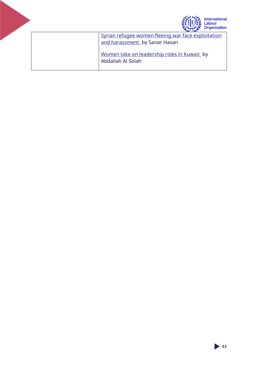

[Syrian refugee women fleeing war face exploitation](https://daraj.com/81520/)  [and harassment b](https://daraj.com/81520/)y Sanar Hasan [Women take on leadership roles in Kuwait](https://www.youtube.com/watch?v=3I-NN5sykpk) by

<span id="page-42-0"></span>Abdallah Al Solah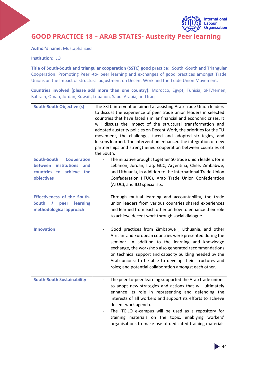International Labour **Organization** 

**GOOD PRACTICE 18 – ARAB STATES- Austerity Peer learning**

**Author's name**: Mustapha Said

**Institution**: ILO

**Title of South-South and triangular cooperation (SSTC) good practice**: South -South and Triangular Cooperation: Promoting Peer -to- peer learning and exchanges of good practices amongst Trade Unions on the Impact of structural adjustment on Decent Work and the Trade Union Movement.

**Countries involved (please add more than one country):** Morocco, Egypt, Tunisia, oPT,Yemen, Bahrain, Oman, Jordan, Kuwait, Lebanon, Saudi Arabia, and Iraq

| <b>South-South Objective (s)</b>                                                                           | The SSTC intervention aimed at assisting Arab Trade Union leaders<br>to discuss the experience of peer trade union leaders in selected<br>countries that have faced similar financial and economic crises. It<br>will discuss the impact of the structural transformation and<br>adopted austerity policies on Decent Work, the priorities for the TU<br>movement, the challenges faced and adopted strategies, and<br>lessons learned. The intervention enhanced the integration of new<br>partnerships and strengthened cooperation between countries of<br>the South. |
|------------------------------------------------------------------------------------------------------------|--------------------------------------------------------------------------------------------------------------------------------------------------------------------------------------------------------------------------------------------------------------------------------------------------------------------------------------------------------------------------------------------------------------------------------------------------------------------------------------------------------------------------------------------------------------------------|
| South-South<br><b>Cooperation</b><br>between institutions<br>and<br>countries to achieve the<br>objectives | The initiative brought together 50 trade union leaders form<br>Lebanon, Jordan, Iraq, GCC, Argentina, Chile, Zimbabwe,<br>and Lithuania, in addition to the International Trade Union<br>Confederation (ITUC), Arab Trade Union Confederation<br>(ATUC), and ILO specialists.                                                                                                                                                                                                                                                                                            |
| <b>Effectiveness of the South-</b><br>South<br>learning<br>$\prime$<br>peer<br>methodological approach     | Through mutual learning and accountability, the trade<br>union leaders from various countries shared experiences<br>and learned from each other on how to enhance their role<br>to achieve decent work through social dialogue.                                                                                                                                                                                                                                                                                                                                          |
| <b>Innovation</b>                                                                                          | Good practices from Zimbabwe, Lithuania, and other<br>African and European countries were presented during the<br>seminar. In addition to the learning and knowledge<br>exchange, the workshop also generated recommendations<br>on technical support and capacity building needed by the<br>Arab unions; to be able to develop their structures and<br>roles; and potential collaboration amongst each other.                                                                                                                                                           |
| <b>South-South Sustainability</b>                                                                          | The peer-to-peer learning supported the Arab trade unions<br>to adopt new strategies and actions that will ultimately<br>enhance its role in representing and defending the<br>interests of all workers and support its efforts to achieve<br>decent work agenda.<br>The ITCILO e-campus will be used as a repository for<br>training materials on the topic, enablying workers'<br>organisations to make use of dedicated training materials                                                                                                                            |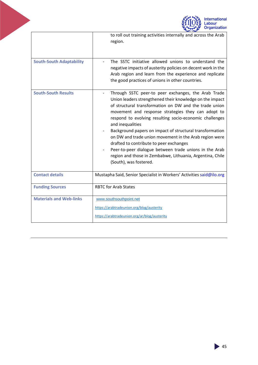

<span id="page-44-0"></span>

|                                 | to roll out training activities internally and across the Arab<br>region.                                                                                                                                                                                                                                                                                                                                                                                                                                                                                                                                                        |
|---------------------------------|----------------------------------------------------------------------------------------------------------------------------------------------------------------------------------------------------------------------------------------------------------------------------------------------------------------------------------------------------------------------------------------------------------------------------------------------------------------------------------------------------------------------------------------------------------------------------------------------------------------------------------|
| <b>South-South Adaptability</b> | The SSTC initiative allowed unions to understand the<br>negative impacts of austerity policies on decent work in the<br>Arab region and learn from the experience and replicate<br>the good practices of unions in other countries.                                                                                                                                                                                                                                                                                                                                                                                              |
| <b>South-South Results</b>      | Through SSTC peer-to peer exchanges, the Arab Trade<br>Union leaders strengthened their knowledge on the impact<br>of structural transformation on DW and the trade union<br>movement and response strategies they can adopt to<br>respond to evolving resulting socio-economic challenges<br>and inequalities<br>Background papers on impact of structural transformation<br>on DW and trade union movement in the Arab region were<br>drafted to contribute to peer exchanges<br>Peer-to-peer dialogue between trade unions in the Arab<br>region and those in Zembabwe, Lithuania, Argentina, Chile<br>(South), was fostered. |
| <b>Contact details</b>          | Mustapha Said, Senior Specialist in Workers' Activities said@ilo.org                                                                                                                                                                                                                                                                                                                                                                                                                                                                                                                                                             |
| <b>Funding Sources</b>          | <b>RBTC for Arab States</b>                                                                                                                                                                                                                                                                                                                                                                                                                                                                                                                                                                                                      |
| <b>Materials and Web-links</b>  | www.southsouthpoint.net<br>https://arabtradeunion.org/blog/austerity<br>https://arabtradeunion.org/ar/blog/austerity                                                                                                                                                                                                                                                                                                                                                                                                                                                                                                             |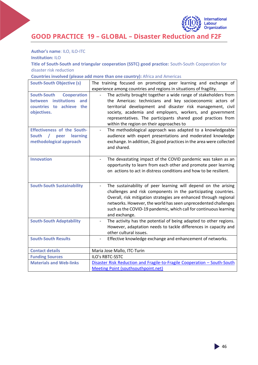

**GOOD PRACTICE 19 – GLOBAL – Disaster Reduction and F2F**

**Author's name**: ILO, ILO-ITC

**Institution:** ILO

**Title of South-South and triangular cooperation (SSTC) good practice:** South-South Cooperation for disaster risk reduction

**Countries involved (please add more than one country):** Africa and Americas

<span id="page-45-0"></span>

| <b>South-South Objective (s)</b>   | The training focused on promoting peer learning and exchange of                        |
|------------------------------------|----------------------------------------------------------------------------------------|
|                                    | experience among countries and regions in situations of fragility.                     |
| South-South<br><b>Cooperation</b>  | The activity brought together a wide range of stakeholders from                        |
| between institutions<br>and        | the Americas: technicians and key socioeconomic actors of                              |
| countries to achieve<br>the        | territorial development and disaster risk management, civil                            |
| objectives.                        | society, academia and employers, workers, and government                               |
|                                    | representatives. The participants shared good practices from                           |
|                                    | within the region on their approaches to                                               |
| <b>Effectiveness of the South-</b> | The methodological approach was adapted to a knowledgeable<br>$\overline{\phantom{0}}$ |
| South /<br>learning<br>peer        | audience with expert presentations and moderated knowledge                             |
| methodological approach            | exchange. In addition, 26 good practices in the area were collected                    |
|                                    | and shared.                                                                            |
|                                    |                                                                                        |
| <b>Innovation</b>                  | The devastating impact of the COVID pandemic was taken as an                           |
|                                    | opportunity to learn from each other and promote peer learning                         |
|                                    | on actions to act in distress conditions and how to be resilient.                      |
|                                    |                                                                                        |
| <b>South-South Sustainability</b>  | The sustainability of peer learning will depend on the arising                         |
|                                    | challenges and risk components in the participating countries.                         |
|                                    | Overall, risk mitigation strategies are enhanced through regional                      |
|                                    | networks. However, the world has seen unprecedented challenges                         |
|                                    | such as the COVID-19 pandemic, which call for continuous learning                      |
|                                    | and exchange.                                                                          |
| <b>South-South Adaptability</b>    | The activity has the potential of being adapted to other regions.                      |
|                                    | However, adaptation needs to tackle differences in capacity and                        |
|                                    | other cultural issues.                                                                 |
| <b>South-South Results</b>         | Effective knowledge exchange and enhancement of networks.                              |
|                                    |                                                                                        |
| <b>Contact details</b>             | Maria Jose Mallo, ITC-Turin                                                            |
| <b>Funding Sources</b>             | <b>ILO's RBTC-SSTC</b>                                                                 |
| <b>Materials and Web-links</b>     | Disaster Risk Reduction and Fragile-to-Fragile Cooperation - South-South               |
|                                    | Meeting Point (southsouthpoint.net)                                                    |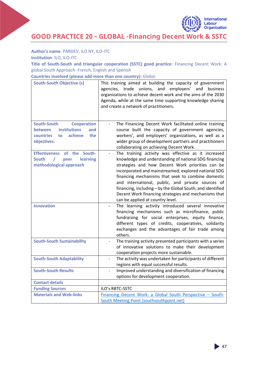

#### **Author's name**: PARDEV, ILO NY, ILO-ITC

**Institution**: ILO, ILO-ITC

**Title of South-South and triangular cooperation (SSTC) good practice**: Financing Decent Work: A global South Approach- French, English and Spenish

**Countries involved (please add more than one country):** Global

<span id="page-46-0"></span>

| <b>South-South Objective (s)</b>                        | This training aimed at building the capacity of government<br>agencies, trade unions, and employers'<br>and<br>business<br>organizations to achieve decent work and the aims of the 2030<br>Agenda, while at the same time supporting knowledge sharing<br>and create a network of practitioners. |  |
|---------------------------------------------------------|---------------------------------------------------------------------------------------------------------------------------------------------------------------------------------------------------------------------------------------------------------------------------------------------------|--|
| <b>South-South</b><br><b>Cooperation</b>                | The Financing Decent Work facilitated online training                                                                                                                                                                                                                                             |  |
| <b>institutions</b><br><b>between</b><br>and            | course built the capacity of government agencies,                                                                                                                                                                                                                                                 |  |
| <b>countries</b><br>achieve<br>to<br>the<br>objectives. | workers', and employers' organizations, as well as a<br>wider group of development partners and practitioners                                                                                                                                                                                     |  |
|                                                         | collaborating on achieving Decent Work.                                                                                                                                                                                                                                                           |  |
| Effectiveness of the South-                             | The training activity was effective as it increased<br>$\qquad \qquad \blacksquare$                                                                                                                                                                                                               |  |
| <b>South</b><br>learning<br>peer                        | knowledge and understanding of national SDG financing                                                                                                                                                                                                                                             |  |
| methodological approach                                 | strategies and how Decent Work priorities can be                                                                                                                                                                                                                                                  |  |
|                                                         | incorporated and mainstreamed; explored national SDG                                                                                                                                                                                                                                              |  |
|                                                         | financing mechanisms that seek to combine domestic<br>and international, public, and private sources of                                                                                                                                                                                           |  |
|                                                         | financing, including - by the Global South; and identified                                                                                                                                                                                                                                        |  |
|                                                         | Decent Work financing strategies and mechanisms that                                                                                                                                                                                                                                              |  |
|                                                         | can be applied at country level.                                                                                                                                                                                                                                                                  |  |
| <b>Innovation</b>                                       | The learning activity introduced several innovative                                                                                                                                                                                                                                               |  |
|                                                         | financing mechanisms such as microfinance, public<br>fundraising for social enterprises, equity finance,                                                                                                                                                                                          |  |
|                                                         | different types of credits, cooperatives, solidarity                                                                                                                                                                                                                                              |  |
|                                                         | exchanges and the advantages of fair trade among                                                                                                                                                                                                                                                  |  |
|                                                         | others.                                                                                                                                                                                                                                                                                           |  |
| <b>South-South Sustainability</b>                       | The training activity presented participants with a series                                                                                                                                                                                                                                        |  |
|                                                         | of innovative solutions to make their development                                                                                                                                                                                                                                                 |  |
| <b>South-South Adaptability</b>                         | cooperation projects more sustainable.<br>The activity was undertaken for participants of different                                                                                                                                                                                               |  |
|                                                         | regions with equal successful results.                                                                                                                                                                                                                                                            |  |
| <b>South-South Results</b>                              | Improved understanding and diversification of financing                                                                                                                                                                                                                                           |  |
|                                                         | options for development cooperation.                                                                                                                                                                                                                                                              |  |
| <b>Contact details</b>                                  |                                                                                                                                                                                                                                                                                                   |  |
| <b>Funding Sources</b>                                  | ILO's RBTC-SSTC                                                                                                                                                                                                                                                                                   |  |
| <b>Materials and Web-links</b>                          | Financing Decent Work: a Global South Perspective - South-                                                                                                                                                                                                                                        |  |
|                                                         | South Meeting Point (southsouthpoint.net)                                                                                                                                                                                                                                                         |  |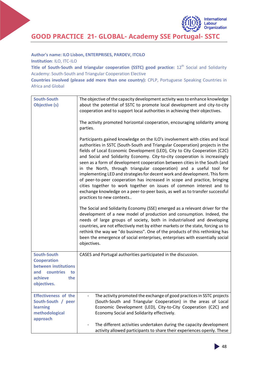

**GOOD PRACTICE 21- GLOBAL- Academy SSE Portugal- SSTC**

**Author's name: ILO Lisbon, ENTERPRISES, PARDEV, ITCILO**

**Institution**: ILO, ITC-ILO

**Title of South-South and triangular cooperation (SSTC) good practice:** 12<sup>th</sup> Social and Solidarity Academy: South-South and Triangular Cooperation Elective

**Countries involved (please add more than one country):** CPLP, Portuguese Speaking Countries in Africa and Global

| <b>South-South</b><br><b>Objective (s)</b>                                                                                  | The objective of the capacity development activity was to enhance knowledge<br>about the potential of SSTC to promote local development and city-to-city<br>cooperation and to support local authorities in achieving their objectives.<br>The activity promoted horizontal cooperation, encouraging solidarity among<br>parties.                                                                                                                                                                                                                                                                                                                                                                                                                                                                                                                                                                                                                                                                                                                                                                                                                                                                                                                                                                                                       |
|-----------------------------------------------------------------------------------------------------------------------------|-----------------------------------------------------------------------------------------------------------------------------------------------------------------------------------------------------------------------------------------------------------------------------------------------------------------------------------------------------------------------------------------------------------------------------------------------------------------------------------------------------------------------------------------------------------------------------------------------------------------------------------------------------------------------------------------------------------------------------------------------------------------------------------------------------------------------------------------------------------------------------------------------------------------------------------------------------------------------------------------------------------------------------------------------------------------------------------------------------------------------------------------------------------------------------------------------------------------------------------------------------------------------------------------------------------------------------------------|
|                                                                                                                             | Participants gained knowledge on the ILO's involvement with cities and local<br>authorities in SSTC (South-South and Triangular Cooperation) projects in the<br>fields of Local Economic Development (LED), City to City Cooperation (C2C)<br>and Social and Solidarity Economy. City-to-city cooperation is increasingly<br>seen as a form of development cooperation between cities in the South (and<br>in the North, through triangular cooperation) and a useful tool for<br>implementing LED and strategies for decent work and development. This form<br>of peer-to-peer cooperation has increased in scope and practice, bringing<br>cities together to work together on issues of common interest and to<br>exchange knowledge on a peer-to-peer basis, as well as to transfer successful<br>practices to new contexts<br>The Social and Solidarity Economy (SSE) emerged as a relevant driver for the<br>development of a new model of production and consumption. Indeed, the<br>needs of large groups of society, both in industrialised and developing<br>countries, are not effectively met by either markets or the state, forcing us to<br>rethink the way we "do business". One of the products of this rethinking has<br>been the emergence of social enterprises, enterprises with essentially social<br>objectives. |
| <b>South-South</b><br><b>Cooperation</b><br>between institutions<br>countries<br>and<br>to<br>achieve<br>the<br>objectives. | CASES and Portugal authorities participated in the discussion.                                                                                                                                                                                                                                                                                                                                                                                                                                                                                                                                                                                                                                                                                                                                                                                                                                                                                                                                                                                                                                                                                                                                                                                                                                                                          |
| <b>Effectiveness of the</b><br>South-South / peer<br>learning<br>methodological<br>approach                                 | The activity promoted the exchange of good practices in SSTC projects<br>(South-South and Triangular Cooperation) in the areas of Local<br>Economic Development (LED), City-to-City Cooperation (C2C) and<br>Economy Social and Solidarity effectively.<br>The different activities undertaken during the capacity development<br>activity allowed participants to share their experiences openly. These                                                                                                                                                                                                                                                                                                                                                                                                                                                                                                                                                                                                                                                                                                                                                                                                                                                                                                                                |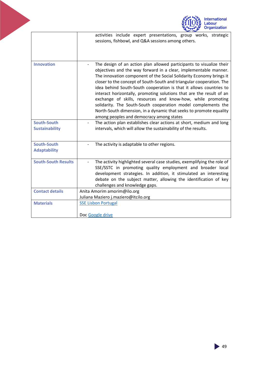

|                                      | activities include expert presentations, group works, strategic<br>sessions, fishbowl, and Q&A sessions among others.                                                                                                                                                                                                                                                                                                                                                                                                                                                                                                                                                                   |
|--------------------------------------|-----------------------------------------------------------------------------------------------------------------------------------------------------------------------------------------------------------------------------------------------------------------------------------------------------------------------------------------------------------------------------------------------------------------------------------------------------------------------------------------------------------------------------------------------------------------------------------------------------------------------------------------------------------------------------------------|
| <b>Innovation</b>                    | The design of an action plan allowed participants to visualize their<br>objectives and the way forward in a clear, implementable manner.<br>The innovation component of the Social Solidarity Economy brings it<br>closer to the concept of South-South and triangular cooperation. The<br>idea behind South-South cooperation is that it allows countries to<br>interact horizontally, promoting solutions that are the result of an<br>exchange of skills, resources and know-how, while promoting<br>solidarity. The South-South cooperation model complements the<br>North-South dimension, in a dynamic that seeks to promote equality<br>among peoples and democracy among states |
| South-South<br><b>Sustainability</b> | The action plan establishes clear actions at short, medium and long<br>intervals, which will allow the sustainability of the results.                                                                                                                                                                                                                                                                                                                                                                                                                                                                                                                                                   |
| South-South<br><b>Adaptability</b>   | The activity is adaptable to other regions.                                                                                                                                                                                                                                                                                                                                                                                                                                                                                                                                                                                                                                             |
| <b>South-South Results</b>           | The activity highlighted several case studies, exemplifying the role of<br>SSE/SSTC in promoting quality employment and broader local<br>development strategies. In addition, it stimulated an interesting<br>debate on the subject matter, allowing the identification of key<br>challenges and knowledge gaps.                                                                                                                                                                                                                                                                                                                                                                        |
| <b>Contact details</b>               | Anita Amorim amorim@ilo.org<br>Juliana Maziero j.maziero@itcilo.org                                                                                                                                                                                                                                                                                                                                                                                                                                                                                                                                                                                                                     |
| <b>Materials</b>                     | <b>SSE Lisbon Portugal</b><br>Doc Google drive                                                                                                                                                                                                                                                                                                                                                                                                                                                                                                                                                                                                                                          |